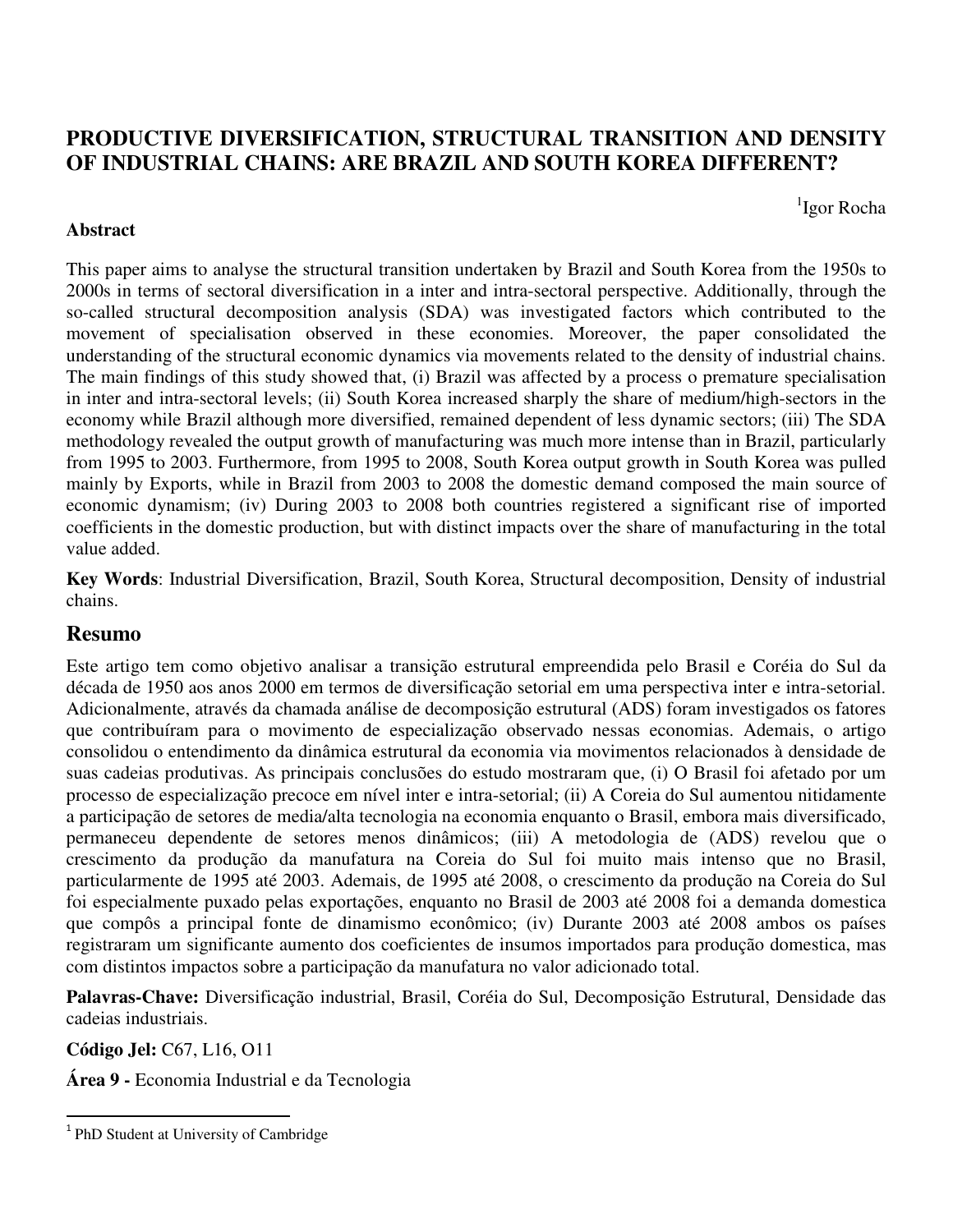# **PRODUCTIVE DIVERSIFICATION, STRUCTURAL TRANSITION AND DENSITY OF INDUSTRIAL CHAINS: ARE BRAZIL AND SOUTH KOREA DIFFERENT?**

1 Igor Rocha

## **Abstract**

This paper aims to analyse the structural transition undertaken by Brazil and South Korea from the 1950s to 2000s in terms of sectoral diversification in a inter and intra-sectoral perspective. Additionally, through the so-called structural decomposition analysis (SDA) was investigated factors which contributed to the movement of specialisation observed in these economies. Moreover, the paper consolidated the understanding of the structural economic dynamics via movements related to the density of industrial chains. The main findings of this study showed that, (i) Brazil was affected by a process o premature specialisation in inter and intra-sectoral levels; (ii) South Korea increased sharply the share of medium/high-sectors in the economy while Brazil although more diversified, remained dependent of less dynamic sectors; (iii) The SDA methodology revealed the output growth of manufacturing was much more intense than in Brazil, particularly from 1995 to 2003. Furthermore, from 1995 to 2008, South Korea output growth in South Korea was pulled mainly by Exports, while in Brazil from 2003 to 2008 the domestic demand composed the main source of economic dynamism; (iv) During 2003 to 2008 both countries registered a significant rise of imported coefficients in the domestic production, but with distinct impacts over the share of manufacturing in the total value added.

**Key Words**: Industrial Diversification, Brazil, South Korea, Structural decomposition, Density of industrial chains.

## **Resumo**

Este artigo tem como objetivo analisar a transição estrutural empreendida pelo Brasil e Coréia do Sul da década de 1950 aos anos 2000 em termos de diversificação setorial em uma perspectiva inter e intra-setorial. Adicionalmente, através da chamada análise de decomposição estrutural (ADS) foram investigados os fatores que contribuíram para o movimento de especialização observado nessas economias. Ademais, o artigo consolidou o entendimento da dinâmica estrutural da economia via movimentos relacionados à densidade de suas cadeias produtivas. As principais conclusões do estudo mostraram que, (i) O Brasil foi afetado por um processo de especialização precoce em nível inter e intra-setorial; (ii) A Coreia do Sul aumentou nitidamente a participação de setores de media/alta tecnologia na economia enquanto o Brasil, embora mais diversificado, permaneceu dependente de setores menos dinâmicos; (iii) A metodologia de (ADS) revelou que o crescimento da produção da manufatura na Coreia do Sul foi muito mais intenso que no Brasil, particularmente de 1995 até 2003. Ademais, de 1995 até 2008, o crescimento da produção na Coreia do Sul foi especialmente puxado pelas exportações, enquanto no Brasil de 2003 até 2008 foi a demanda domestica que compôs a principal fonte de dinamismo econômico; (iv) Durante 2003 até 2008 ambos os países registraram um significante aumento dos coeficientes de insumos importados para produção domestica, mas com distintos impactos sobre a participação da manufatura no valor adicionado total.

**Palavras-Chave:** Diversificação industrial, Brasil, Coréia do Sul, Decomposição Estrutural, Densidade das cadeias industriais.

**Código Jel:** C67, L16, O11

 $\overline{a}$ 

**Área 9 -** Economia Industrial e da Tecnologia

<sup>&</sup>lt;sup>1</sup> PhD Student at University of Cambridge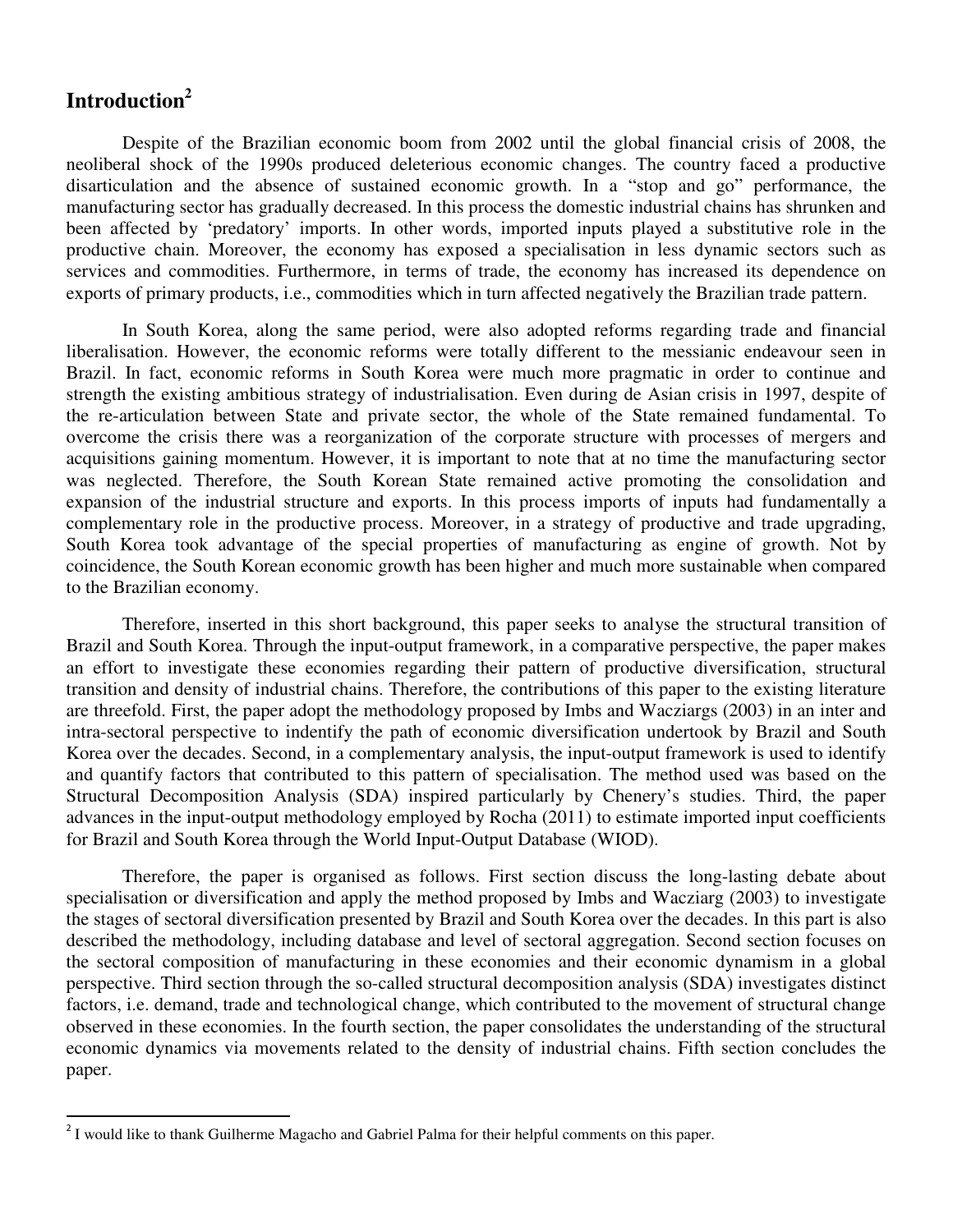# **Introduction<sup>2</sup>**

 $\overline{a}$ 

 Despite of the Brazilian economic boom from 2002 until the global financial crisis of 2008, the neoliberal shock of the 1990s produced deleterious economic changes. The country faced a productive disarticulation and the absence of sustained economic growth. In a "stop and go" performance, the manufacturing sector has gradually decreased. In this process the domestic industrial chains has shrunken and been affected by 'predatory' imports. In other words, imported inputs played a substitutive role in the productive chain. Moreover, the economy has exposed a specialisation in less dynamic sectors such as services and commodities. Furthermore, in terms of trade, the economy has increased its dependence on exports of primary products, i.e., commodities which in turn affected negatively the Brazilian trade pattern.

 In South Korea, along the same period, were also adopted reforms regarding trade and financial liberalisation. However, the economic reforms were totally different to the messianic endeavour seen in Brazil. In fact, economic reforms in South Korea were much more pragmatic in order to continue and strength the existing ambitious strategy of industrialisation. Even during de Asian crisis in 1997, despite of the re-articulation between State and private sector, the whole of the State remained fundamental. To overcome the crisis there was a reorganization of the corporate structure with processes of mergers and acquisitions gaining momentum. However, it is important to note that at no time the manufacturing sector was neglected. Therefore, the South Korean State remained active promoting the consolidation and expansion of the industrial structure and exports. In this process imports of inputs had fundamentally a complementary role in the productive process. Moreover, in a strategy of productive and trade upgrading, South Korea took advantage of the special properties of manufacturing as engine of growth. Not by coincidence, the South Korean economic growth has been higher and much more sustainable when compared to the Brazilian economy.

 Therefore, inserted in this short background, this paper seeks to analyse the structural transition of Brazil and South Korea. Through the input-output framework, in a comparative perspective, the paper makes an effort to investigate these economies regarding their pattern of productive diversification, structural transition and density of industrial chains. Therefore, the contributions of this paper to the existing literature are threefold. First, the paper adopt the methodology proposed by Imbs and Wacziargs (2003) in an inter and intra-sectoral perspective to indentify the path of economic diversification undertook by Brazil and South Korea over the decades. Second, in a complementary analysis, the input-output framework is used to identify and quantify factors that contributed to this pattern of specialisation. The method used was based on the Structural Decomposition Analysis (SDA) inspired particularly by Chenery's studies. Third, the paper advances in the input-output methodology employed by Rocha (2011) to estimate imported input coefficients for Brazil and South Korea through the World Input-Output Database (WIOD).

 Therefore, the paper is organised as follows. First section discuss the long-lasting debate about specialisation or diversification and apply the method proposed by Imbs and Wacziarg (2003) to investigate the stages of sectoral diversification presented by Brazil and South Korea over the decades. In this part is also described the methodology, including database and level of sectoral aggregation. Second section focuses on the sectoral composition of manufacturing in these economies and their economic dynamism in a global perspective. Third section through the so-called structural decomposition analysis (SDA) investigates distinct factors, i.e. demand, trade and technological change, which contributed to the movement of structural change observed in these economies. In the fourth section, the paper consolidates the understanding of the structural economic dynamics via movements related to the density of industrial chains. Fifth section concludes the paper.

 $2<sup>2</sup>$  I would like to thank Guilherme Magacho and Gabriel Palma for their helpful comments on this paper.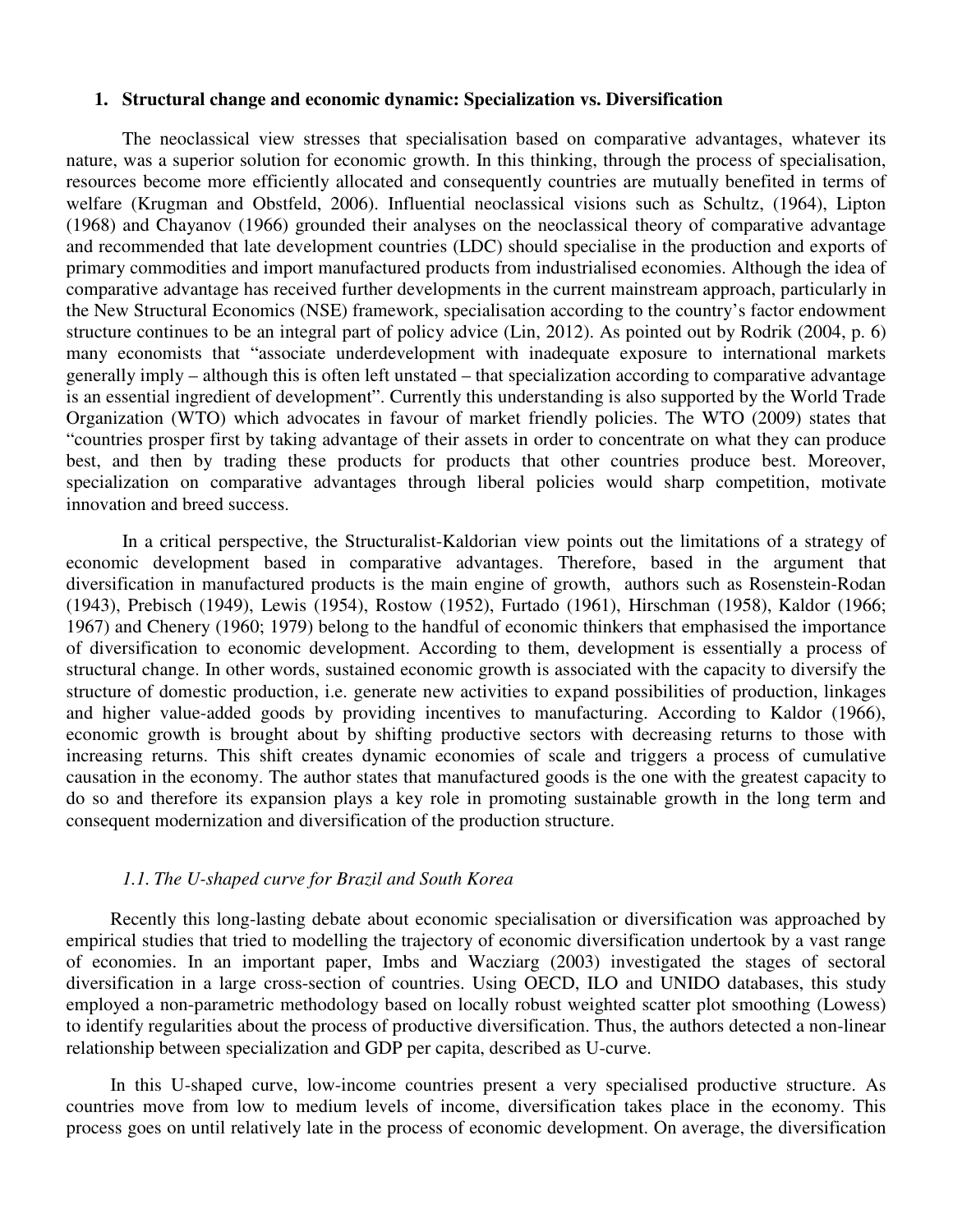#### **1. Structural change and economic dynamic: Specialization vs. Diversification**

 The neoclassical view stresses that specialisation based on comparative advantages, whatever its nature, was a superior solution for economic growth. In this thinking, through the process of specialisation, resources become more efficiently allocated and consequently countries are mutually benefited in terms of welfare (Krugman and Obstfeld, 2006). Influential neoclassical visions such as Schultz, (1964), Lipton (1968) and Chayanov (1966) grounded their analyses on the neoclassical theory of comparative advantage and recommended that late development countries (LDC) should specialise in the production and exports of primary commodities and import manufactured products from industrialised economies. Although the idea of comparative advantage has received further developments in the current mainstream approach, particularly in the New Structural Economics (NSE) framework, specialisation according to the country's factor endowment structure continues to be an integral part of policy advice (Lin, 2012). As pointed out by Rodrik (2004, p. 6) many economists that "associate underdevelopment with inadequate exposure to international markets generally imply – although this is often left unstated – that specialization according to comparative advantage is an essential ingredient of development". Currently this understanding is also supported by the World Trade Organization (WTO) which advocates in favour of market friendly policies. The WTO (2009) states that "countries prosper first by taking advantage of their assets in order to concentrate on what they can produce best, and then by trading these products for products that other countries produce best. Moreover, specialization on comparative advantages through liberal policies would sharp competition, motivate innovation and breed success.

 In a critical perspective, the Structuralist-Kaldorian view points out the limitations of a strategy of economic development based in comparative advantages. Therefore, based in the argument that diversification in manufactured products is the main engine of growth, authors such as Rosenstein-Rodan (1943), Prebisch (1949), Lewis (1954), Rostow (1952), Furtado (1961), Hirschman (1958), Kaldor (1966; 1967) and Chenery (1960; 1979) belong to the handful of economic thinkers that emphasised the importance of diversification to economic development. According to them, development is essentially a process of structural change. In other words, sustained economic growth is associated with the capacity to diversify the structure of domestic production, i.e. generate new activities to expand possibilities of production, linkages and higher value-added goods by providing incentives to manufacturing. According to Kaldor (1966), economic growth is brought about by shifting productive sectors with decreasing returns to those with increasing returns. This shift creates dynamic economies of scale and triggers a process of cumulative causation in the economy. The author states that manufactured goods is the one with the greatest capacity to do so and therefore its expansion plays a key role in promoting sustainable growth in the long term and consequent modernization and diversification of the production structure.

#### *1.1. The U-shaped curve for Brazil and South Korea*

Recently this long-lasting debate about economic specialisation or diversification was approached by empirical studies that tried to modelling the trajectory of economic diversification undertook by a vast range of economies. In an important paper, Imbs and Wacziarg (2003) investigated the stages of sectoral diversification in a large cross-section of countries. Using OECD, ILO and UNIDO databases, this study employed a non-parametric methodology based on locally robust weighted scatter plot smoothing (Lowess) to identify regularities about the process of productive diversification. Thus, the authors detected a non-linear relationship between specialization and GDP per capita, described as U-curve.

In this U-shaped curve, low-income countries present a very specialised productive structure. As countries move from low to medium levels of income, diversification takes place in the economy. This process goes on until relatively late in the process of economic development. On average, the diversification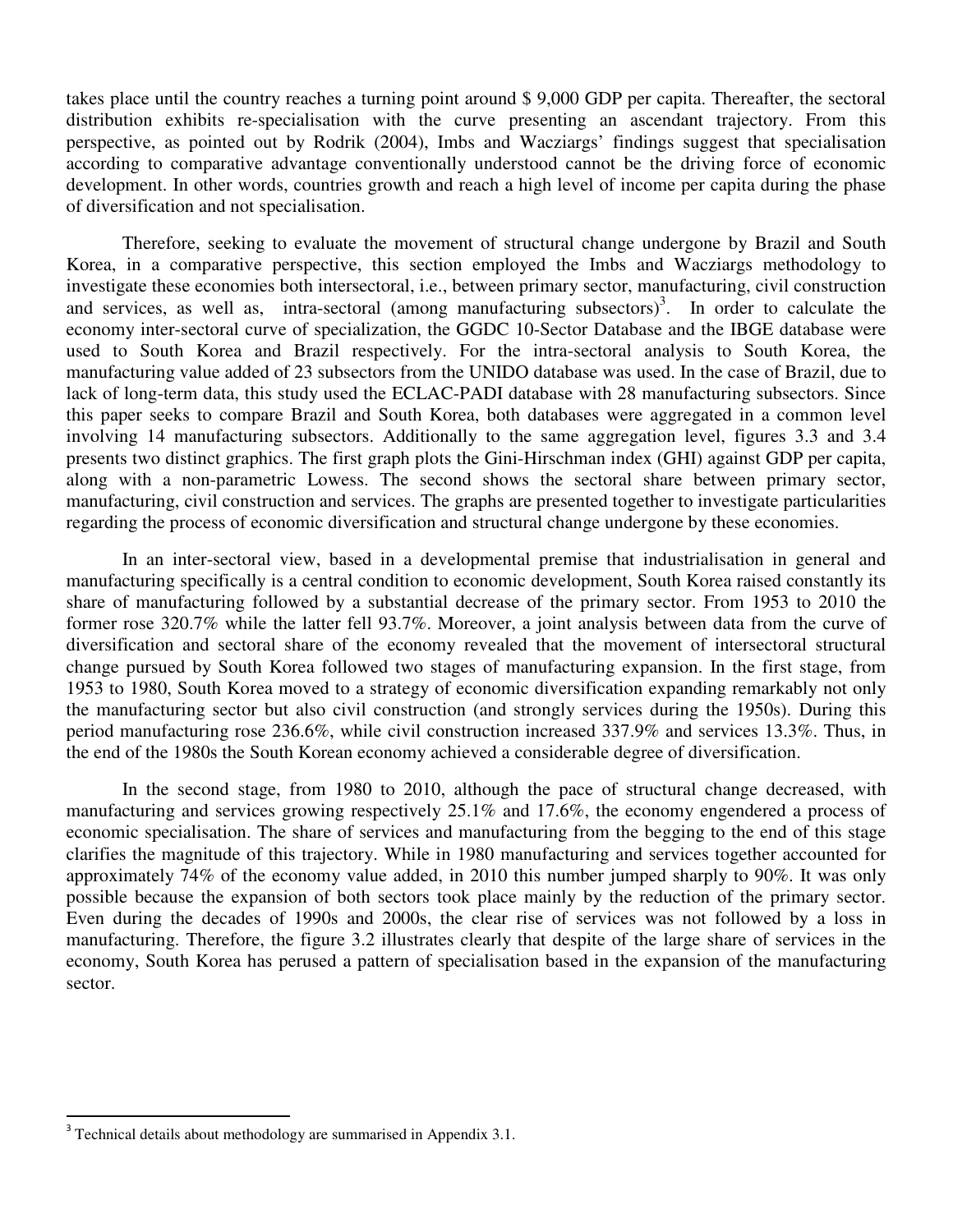takes place until the country reaches a turning point around \$ 9,000 GDP per capita. Thereafter, the sectoral distribution exhibits re-specialisation with the curve presenting an ascendant trajectory. From this perspective, as pointed out by Rodrik (2004), Imbs and Wacziargs' findings suggest that specialisation according to comparative advantage conventionally understood cannot be the driving force of economic development. In other words, countries growth and reach a high level of income per capita during the phase of diversification and not specialisation.

 Therefore, seeking to evaluate the movement of structural change undergone by Brazil and South Korea, in a comparative perspective, this section employed the Imbs and Wacziargs methodology to investigate these economies both intersectoral, i.e., between primary sector, manufacturing, civil construction and services, as well as, intra-sectoral (among manufacturing subsectors)<sup>3</sup>. In order to calculate the economy inter-sectoral curve of specialization, the GGDC 10-Sector Database and the IBGE database were used to South Korea and Brazil respectively. For the intra-sectoral analysis to South Korea, the manufacturing value added of 23 subsectors from the UNIDO database was used. In the case of Brazil, due to lack of long-term data, this study used the ECLAC-PADI database with 28 manufacturing subsectors. Since this paper seeks to compare Brazil and South Korea, both databases were aggregated in a common level involving 14 manufacturing subsectors. Additionally to the same aggregation level, figures 3.3 and 3.4 presents two distinct graphics. The first graph plots the Gini-Hirschman index (GHI) against GDP per capita, along with a non-parametric Lowess. The second shows the sectoral share between primary sector, manufacturing, civil construction and services. The graphs are presented together to investigate particularities regarding the process of economic diversification and structural change undergone by these economies.

 In an inter-sectoral view, based in a developmental premise that industrialisation in general and manufacturing specifically is a central condition to economic development, South Korea raised constantly its share of manufacturing followed by a substantial decrease of the primary sector. From 1953 to 2010 the former rose 320.7% while the latter fell 93.7%. Moreover, a joint analysis between data from the curve of diversification and sectoral share of the economy revealed that the movement of intersectoral structural change pursued by South Korea followed two stages of manufacturing expansion. In the first stage, from 1953 to 1980, South Korea moved to a strategy of economic diversification expanding remarkably not only the manufacturing sector but also civil construction (and strongly services during the 1950s). During this period manufacturing rose 236.6%, while civil construction increased 337.9% and services 13.3%. Thus, in the end of the 1980s the South Korean economy achieved a considerable degree of diversification.

 In the second stage, from 1980 to 2010, although the pace of structural change decreased, with manufacturing and services growing respectively 25.1% and 17.6%, the economy engendered a process of economic specialisation. The share of services and manufacturing from the begging to the end of this stage clarifies the magnitude of this trajectory. While in 1980 manufacturing and services together accounted for approximately 74% of the economy value added, in 2010 this number jumped sharply to 90%. It was only possible because the expansion of both sectors took place mainly by the reduction of the primary sector. Even during the decades of 1990s and 2000s, the clear rise of services was not followed by a loss in manufacturing. Therefore, the figure 3.2 illustrates clearly that despite of the large share of services in the economy, South Korea has perused a pattern of specialisation based in the expansion of the manufacturing sector.

 $\overline{a}$ 

<sup>&</sup>lt;sup>3</sup> Technical details about methodology are summarised in Appendix 3.1.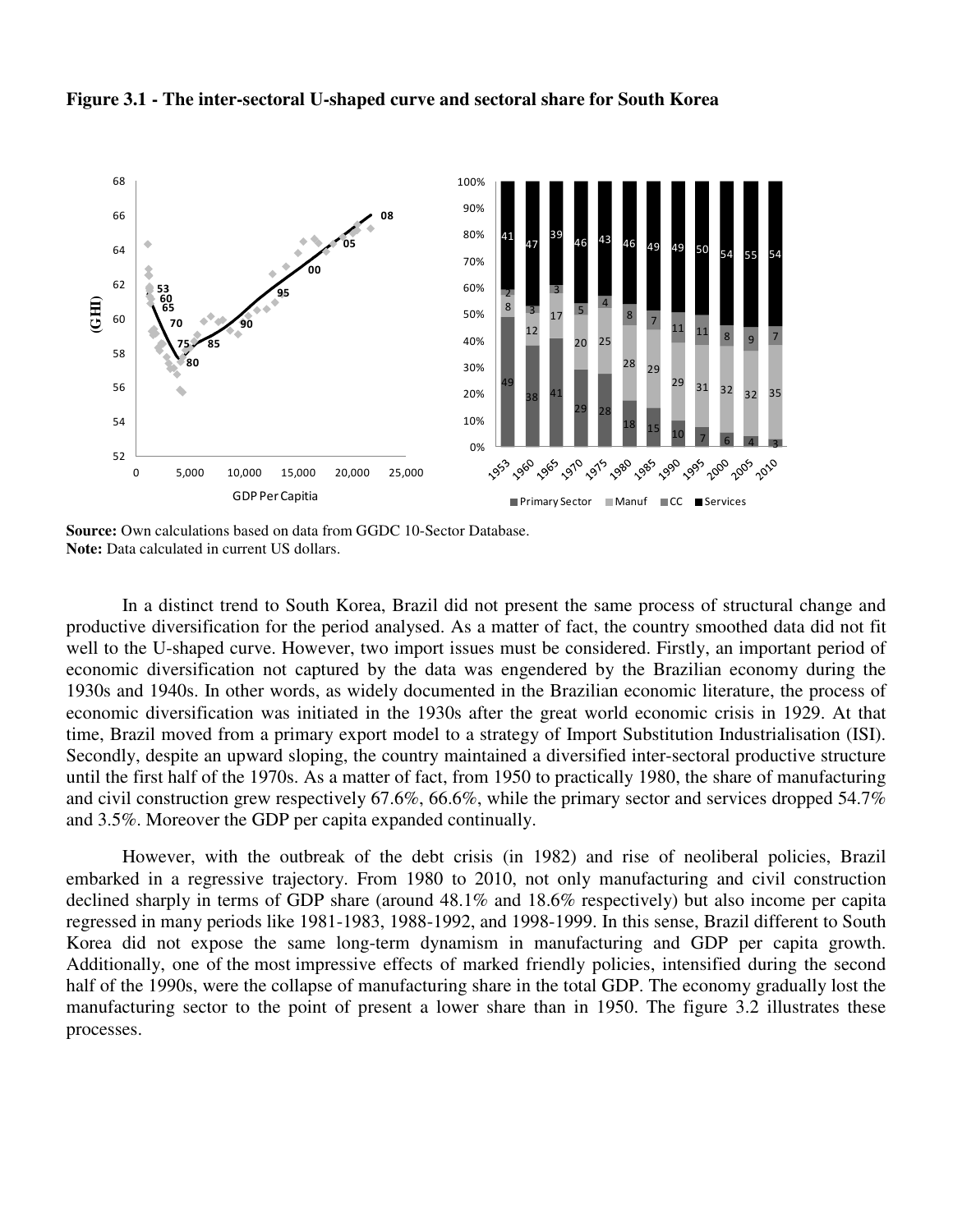

#### **Figure 3.1 - The inter-sectoral U-shaped curve and sectoral share for South Korea**

**Source:** Own calculations based on data from GGDC 10-Sector Database. **Note:** Data calculated in current US dollars.

 In a distinct trend to South Korea, Brazil did not present the same process of structural change and productive diversification for the period analysed. As a matter of fact, the country smoothed data did not fit well to the U-shaped curve. However, two import issues must be considered. Firstly, an important period of economic diversification not captured by the data was engendered by the Brazilian economy during the 1930s and 1940s. In other words, as widely documented in the Brazilian economic literature, the process of economic diversification was initiated in the 1930s after the great world economic crisis in 1929. At that time, Brazil moved from a primary export model to a strategy of Import Substitution Industrialisation (ISI). Secondly, despite an upward sloping, the country maintained a diversified inter-sectoral productive structure until the first half of the 1970s. As a matter of fact, from 1950 to practically 1980, the share of manufacturing and civil construction grew respectively 67.6%, 66.6%, while the primary sector and services dropped 54.7% and 3.5%. Moreover the GDP per capita expanded continually.

 However, with the outbreak of the debt crisis (in 1982) and rise of neoliberal policies, Brazil embarked in a regressive trajectory. From 1980 to 2010, not only manufacturing and civil construction declined sharply in terms of GDP share (around 48.1% and 18.6% respectively) but also income per capita regressed in many periods like 1981-1983, 1988-1992, and 1998-1999. In this sense, Brazil different to South Korea did not expose the same long-term dynamism in manufacturing and GDP per capita growth. Additionally, one of the most impressive effects of marked friendly policies, intensified during the second half of the 1990s, were the collapse of manufacturing share in the total GDP. The economy gradually lost the manufacturing sector to the point of present a lower share than in 1950. The figure 3.2 illustrates these processes.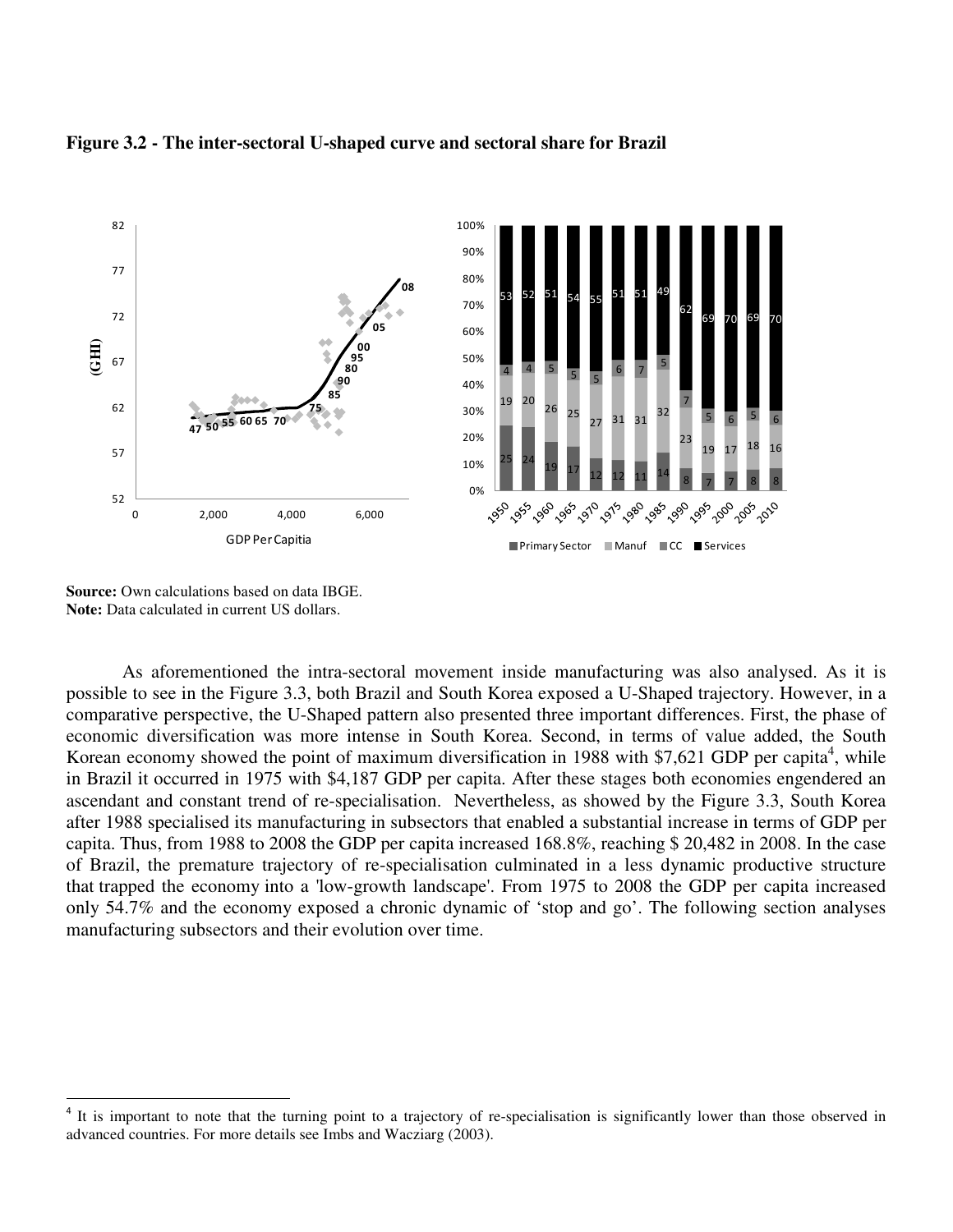

#### **Figure 3.2 - The inter-sectoral U-shaped curve and sectoral share for Brazil**

**Source:** Own calculations based on data IBGE. **Note:** Data calculated in current US dollars.

 $\overline{a}$ 

 As aforementioned the intra-sectoral movement inside manufacturing was also analysed. As it is possible to see in the Figure 3.3, both Brazil and South Korea exposed a U-Shaped trajectory. However, in a comparative perspective, the U-Shaped pattern also presented three important differences. First, the phase of economic diversification was more intense in South Korea. Second, in terms of value added, the South Korean economy showed the point of maximum diversification in 1988 with \$7,621 GDP per capita<sup>4</sup>, while in Brazil it occurred in 1975 with \$4,187 GDP per capita. After these stages both economies engendered an ascendant and constant trend of re-specialisation. Nevertheless, as showed by the Figure 3.3, South Korea after 1988 specialised its manufacturing in subsectors that enabled a substantial increase in terms of GDP per capita. Thus, from 1988 to 2008 the GDP per capita increased 168.8%, reaching \$ 20,482 in 2008. In the case of Brazil, the premature trajectory of re-specialisation culminated in a less dynamic productive structure that trapped the economy into a 'low-growth landscape'. From 1975 to 2008 the GDP per capita increased only 54.7% and the economy exposed a chronic dynamic of 'stop and go'. The following section analyses manufacturing subsectors and their evolution over time.

<sup>&</sup>lt;sup>4</sup> It is important to note that the turning point to a trajectory of re-specialisation is significantly lower than those observed in advanced countries. For more details see Imbs and Wacziarg (2003).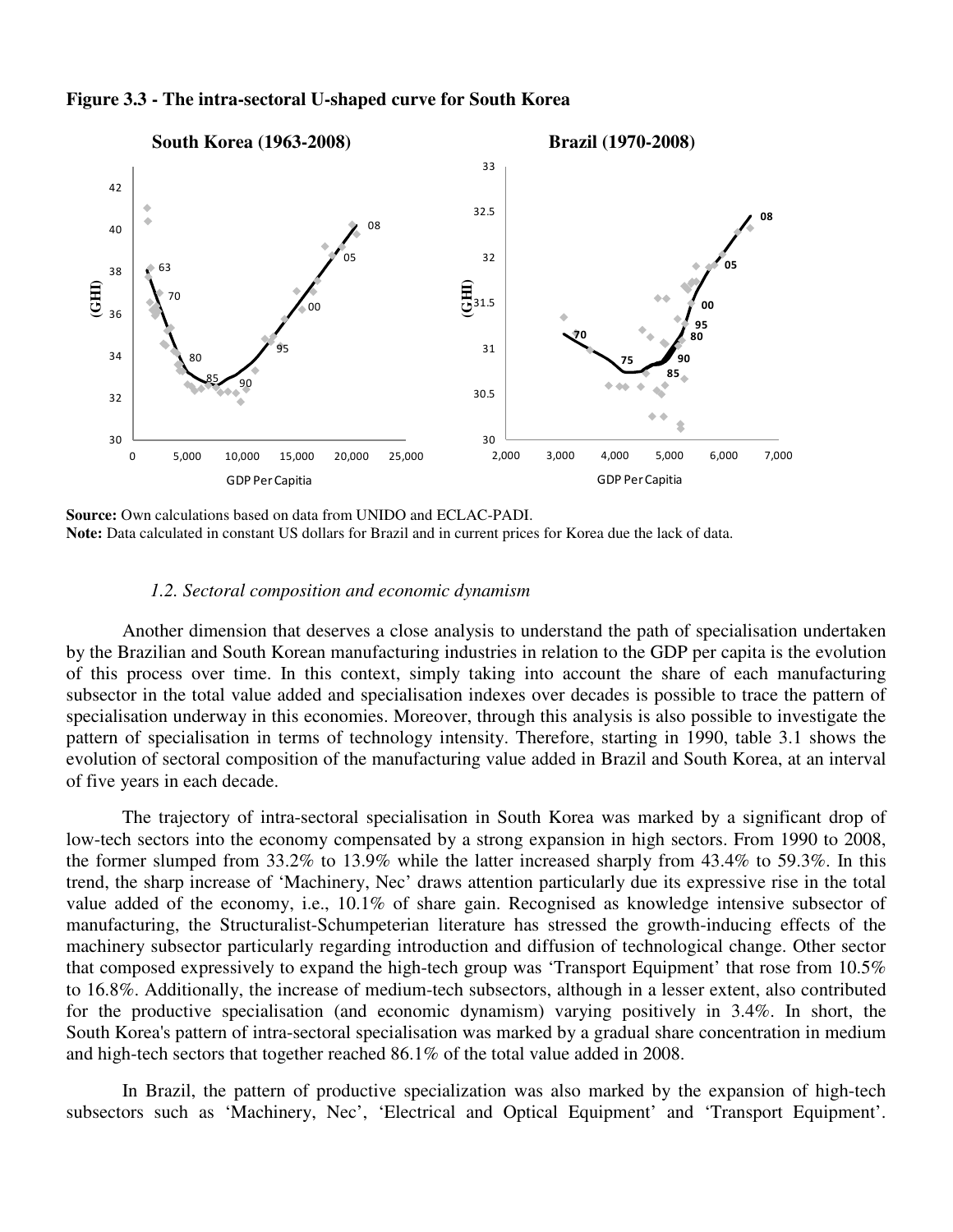

**Figure 3.3 - The intra-sectoral U-shaped curve for South Korea** 

**Source:** Own calculations based on data from UNIDO and ECLAC-PADI. **Note:** Data calculated in constant US dollars for Brazil and in current prices for Korea due the lack of data.

#### *1.2. Sectoral composition and economic dynamism*

 Another dimension that deserves a close analysis to understand the path of specialisation undertaken by the Brazilian and South Korean manufacturing industries in relation to the GDP per capita is the evolution of this process over time. In this context, simply taking into account the share of each manufacturing subsector in the total value added and specialisation indexes over decades is possible to trace the pattern of specialisation underway in this economies. Moreover, through this analysis is also possible to investigate the pattern of specialisation in terms of technology intensity. Therefore, starting in 1990, table 3.1 shows the evolution of sectoral composition of the manufacturing value added in Brazil and South Korea, at an interval of five years in each decade.

 The trajectory of intra-sectoral specialisation in South Korea was marked by a significant drop of low-tech sectors into the economy compensated by a strong expansion in high sectors. From 1990 to 2008, the former slumped from 33.2% to 13.9% while the latter increased sharply from 43.4% to 59.3%. In this trend, the sharp increase of 'Machinery, Nec' draws attention particularly due its expressive rise in the total value added of the economy, i.e., 10.1% of share gain. Recognised as knowledge intensive subsector of manufacturing, the Structuralist-Schumpeterian literature has stressed the growth-inducing effects of the machinery subsector particularly regarding introduction and diffusion of technological change. Other sector that composed expressively to expand the high-tech group was 'Transport Equipment' that rose from 10.5% to 16.8%. Additionally, the increase of medium-tech subsectors, although in a lesser extent, also contributed for the productive specialisation (and economic dynamism) varying positively in 3.4%. In short, the South Korea's pattern of intra-sectoral specialisation was marked by a gradual share concentration in medium and high-tech sectors that together reached 86.1% of the total value added in 2008.

 In Brazil, the pattern of productive specialization was also marked by the expansion of high-tech subsectors such as 'Machinery, Nec', 'Electrical and Optical Equipment' and 'Transport Equipment'.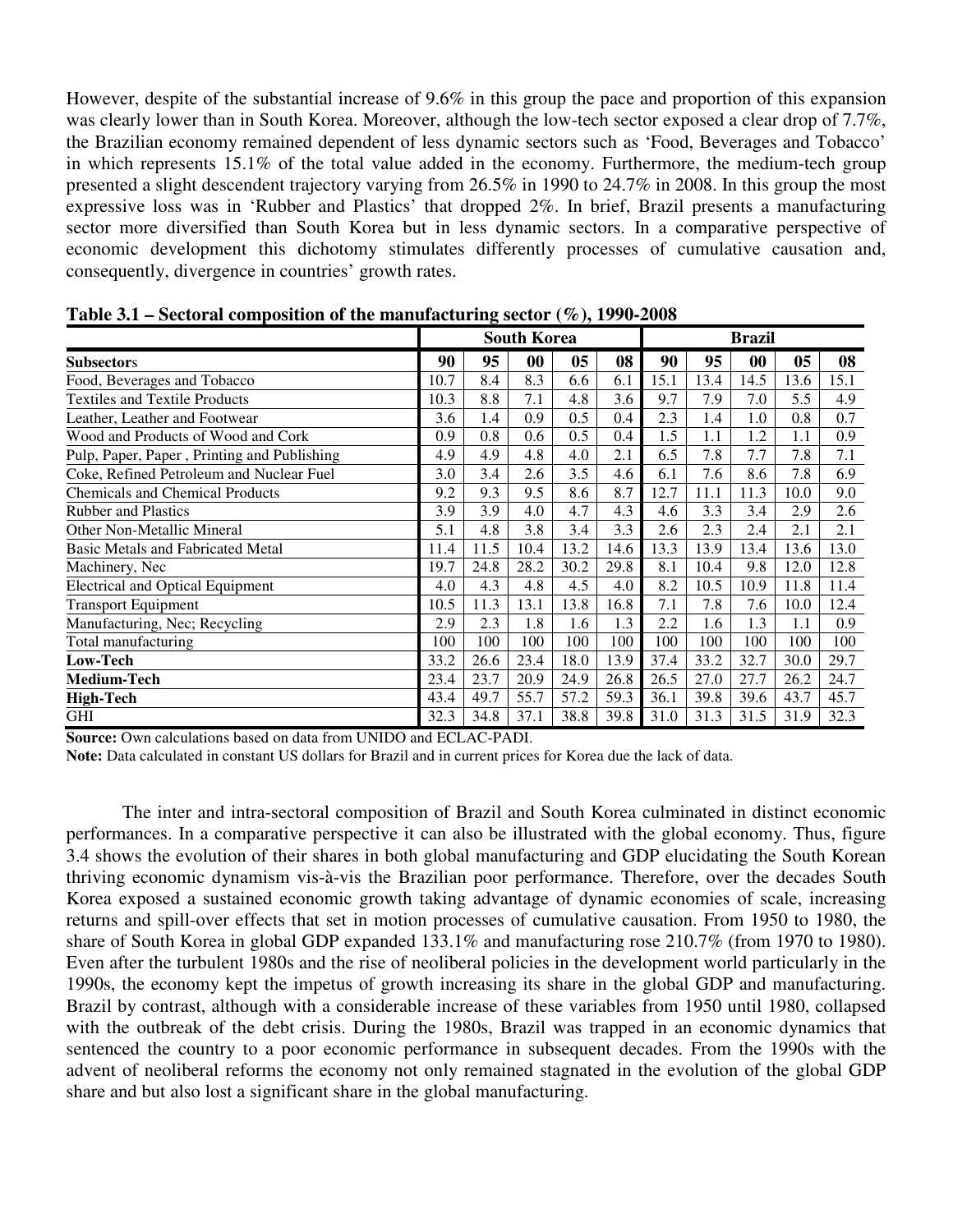However, despite of the substantial increase of 9.6% in this group the pace and proportion of this expansion was clearly lower than in South Korea. Moreover, although the low-tech sector exposed a clear drop of 7.7%, the Brazilian economy remained dependent of less dynamic sectors such as 'Food, Beverages and Tobacco' in which represents 15.1% of the total value added in the economy. Furthermore, the medium-tech group presented a slight descendent trajectory varying from 26.5% in 1990 to 24.7% in 2008. In this group the most expressive loss was in 'Rubber and Plastics' that dropped 2%. In brief, Brazil presents a manufacturing sector more diversified than South Korea but in less dynamic sectors. In a comparative perspective of economic development this dichotomy stimulates differently processes of cumulative causation and, consequently, divergence in countries' growth rates.

|                                             |      |      | <b>South Korea</b> |      |      | <b>Brazil</b> |      |      |      |      |  |  |
|---------------------------------------------|------|------|--------------------|------|------|---------------|------|------|------|------|--|--|
| <b>Subsectors</b>                           | 90   | 95   | 00                 | 05   | 08   | 90            | 95   | 00   | 05   | 08   |  |  |
| Food, Beverages and Tobacco                 | 10.7 | 8.4  | 8.3                | 6.6  | 6.1  | 15.1          | 13.4 | 14.5 | 13.6 | 15.1 |  |  |
| <b>Textiles and Textile Products</b>        | 10.3 | 8.8  | 7.1                | 4.8  | 3.6  | 9.7           | 7.9  | 7.0  | 5.5  | 4.9  |  |  |
| Leather, Leather and Footwear               | 3.6  | 1.4  | 0.9                | 0.5  | 0.4  | 2.3           | 1.4  | 1.0  | 0.8  | 0.7  |  |  |
| Wood and Products of Wood and Cork          | 0.9  | 0.8  | 0.6                | 0.5  | 0.4  | 1.5           | 1.1  | 1.2  | 1.1  | 0.9  |  |  |
| Pulp, Paper, Paper, Printing and Publishing | 4.9  | 4.9  | 4.8                | 4.0  | 2.1  | 6.5           | 7.8  | 7.7  | 7.8  | 7.1  |  |  |
| Coke, Refined Petroleum and Nuclear Fuel    | 3.0  | 3.4  | 2.6                | 3.5  | 4.6  | 6.1           | 7.6  | 8.6  | 7.8  | 6.9  |  |  |
| <b>Chemicals and Chemical Products</b>      | 9.2  | 9.3  | 9.5                | 8.6  | 8.7  | 12.7          | 11.1 | 11.3 | 10.0 | 9.0  |  |  |
| <b>Rubber and Plastics</b>                  | 3.9  | 3.9  | 4.0                | 4.7  | 4.3  | 4.6           | 3.3  | 3.4  | 2.9  | 2.6  |  |  |
| Other Non-Metallic Mineral                  | 5.1  | 4.8  | 3.8                | 3.4  | 3.3  | 2.6           | 2.3  | 2.4  | 2.1  | 2.1  |  |  |
| <b>Basic Metals and Fabricated Metal</b>    | 11.4 | 11.5 | 10.4               | 13.2 | 14.6 | 13.3          | 13.9 | 13.4 | 13.6 | 13.0 |  |  |
| Machinery, Nec                              | 19.7 | 24.8 | 28.2               | 30.2 | 29.8 | 8.1           | 10.4 | 9.8  | 12.0 | 12.8 |  |  |
| <b>Electrical and Optical Equipment</b>     | 4.0  | 4.3  | 4.8                | 4.5  | 4.0  | 8.2           | 10.5 | 10.9 | 11.8 | 11.4 |  |  |
| <b>Transport Equipment</b>                  | 10.5 | 11.3 | 13.1               | 13.8 | 16.8 | 7.1           | 7.8  | 7.6  | 10.0 | 12.4 |  |  |
| Manufacturing, Nec; Recycling               | 2.9  | 2.3  | 1.8                | 1.6  | 1.3  | 2.2           | 1.6  | 1.3  | 1.1  | 0.9  |  |  |
| Total manufacturing                         | 100  | 100  | 100                | 100  | 100  | 100           | 100  | 100  | 100  | 100  |  |  |
| Low-Tech                                    | 33.2 | 26.6 | 23.4               | 18.0 | 13.9 | 37.4          | 33.2 | 32.7 | 30.0 | 29.7 |  |  |
| <b>Medium-Tech</b>                          | 23.4 | 23.7 | 20.9               | 24.9 | 26.8 | 26.5          | 27.0 | 27.7 | 26.2 | 24.7 |  |  |
| <b>High-Tech</b>                            | 43.4 | 49.7 | 55.7               | 57.2 | 59.3 | 36.1          | 39.8 | 39.6 | 43.7 | 45.7 |  |  |
| GHI                                         | 32.3 | 34.8 | 37.1               | 38.8 | 39.8 | 31.0          | 31.3 | 31.5 | 31.9 | 32.3 |  |  |

**Table 3.1 – Sectoral composition of the manufacturing sector (%), 1990-2008** 

**Source:** Own calculations based on data from UNIDO and ECLAC-PADI.

**Note:** Data calculated in constant US dollars for Brazil and in current prices for Korea due the lack of data.

 The inter and intra-sectoral composition of Brazil and South Korea culminated in distinct economic performances. In a comparative perspective it can also be illustrated with the global economy. Thus, figure 3.4 shows the evolution of their shares in both global manufacturing and GDP elucidating the South Korean thriving economic dynamism vis-à-vis the Brazilian poor performance. Therefore, over the decades South Korea exposed a sustained economic growth taking advantage of dynamic economies of scale, increasing returns and spill-over effects that set in motion processes of cumulative causation. From 1950 to 1980, the share of South Korea in global GDP expanded 133.1% and manufacturing rose 210.7% (from 1970 to 1980). Even after the turbulent 1980s and the rise of neoliberal policies in the development world particularly in the 1990s, the economy kept the impetus of growth increasing its share in the global GDP and manufacturing. Brazil by contrast, although with a considerable increase of these variables from 1950 until 1980, collapsed with the outbreak of the debt crisis. During the 1980s, Brazil was trapped in an economic dynamics that sentenced the country to a poor economic performance in subsequent decades. From the 1990s with the advent of neoliberal reforms the economy not only remained stagnated in the evolution of the global GDP share and but also lost a significant share in the global manufacturing.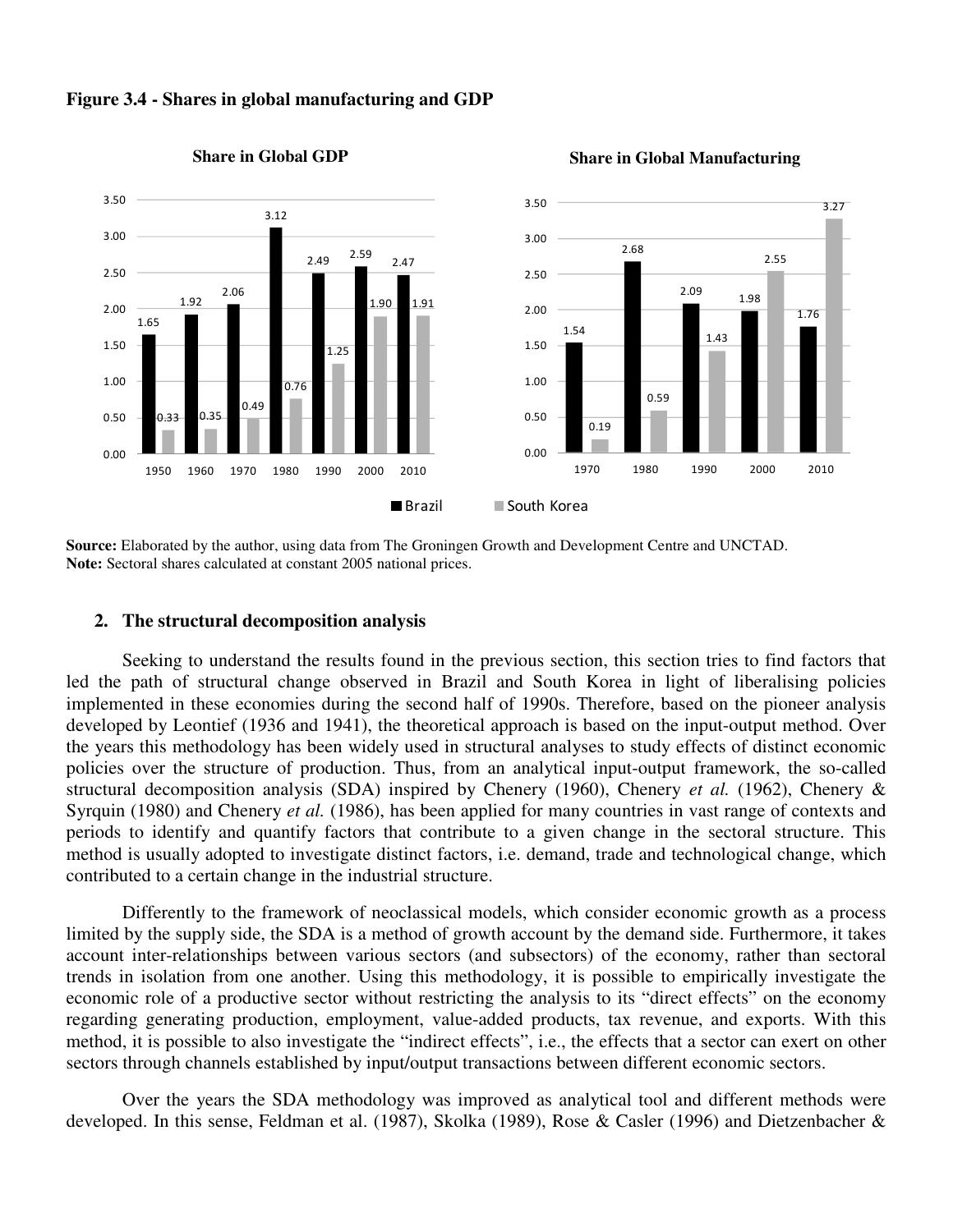

### **Figure 3.4 - Shares in global manufacturing and GDP**

#### **Share in Global GDP** Share in Global Manufacturing

**Source:** Elaborated by the author, using data from The Groningen Growth and Development Centre and UNCTAD. **Note:** Sectoral shares calculated at constant 2005 national prices.

### **2. The structural decomposition analysis**

 Seeking to understand the results found in the previous section, this section tries to find factors that led the path of structural change observed in Brazil and South Korea in light of liberalising policies implemented in these economies during the second half of 1990s. Therefore, based on the pioneer analysis developed by Leontief (1936 and 1941), the theoretical approach is based on the input-output method. Over the years this methodology has been widely used in structural analyses to study effects of distinct economic policies over the structure of production. Thus, from an analytical input-output framework, the so-called structural decomposition analysis (SDA) inspired by Chenery (1960), Chenery *et al.* (1962), Chenery & Syrquin (1980) and Chenery *et al.* (1986), has been applied for many countries in vast range of contexts and periods to identify and quantify factors that contribute to a given change in the sectoral structure. This method is usually adopted to investigate distinct factors, i.e. demand, trade and technological change, which contributed to a certain change in the industrial structure.

 Differently to the framework of neoclassical models, which consider economic growth as a process limited by the supply side, the SDA is a method of growth account by the demand side. Furthermore, it takes account inter-relationships between various sectors (and subsectors) of the economy, rather than sectoral trends in isolation from one another. Using this methodology, it is possible to empirically investigate the economic role of a productive sector without restricting the analysis to its "direct effects" on the economy regarding generating production, employment, value-added products, tax revenue, and exports. With this method, it is possible to also investigate the "indirect effects", i.e., the effects that a sector can exert on other sectors through channels established by input/output transactions between different economic sectors.

 Over the years the SDA methodology was improved as analytical tool and different methods were developed. In this sense, Feldman et al. (1987), Skolka (1989), Rose & Casler (1996) and Dietzenbacher &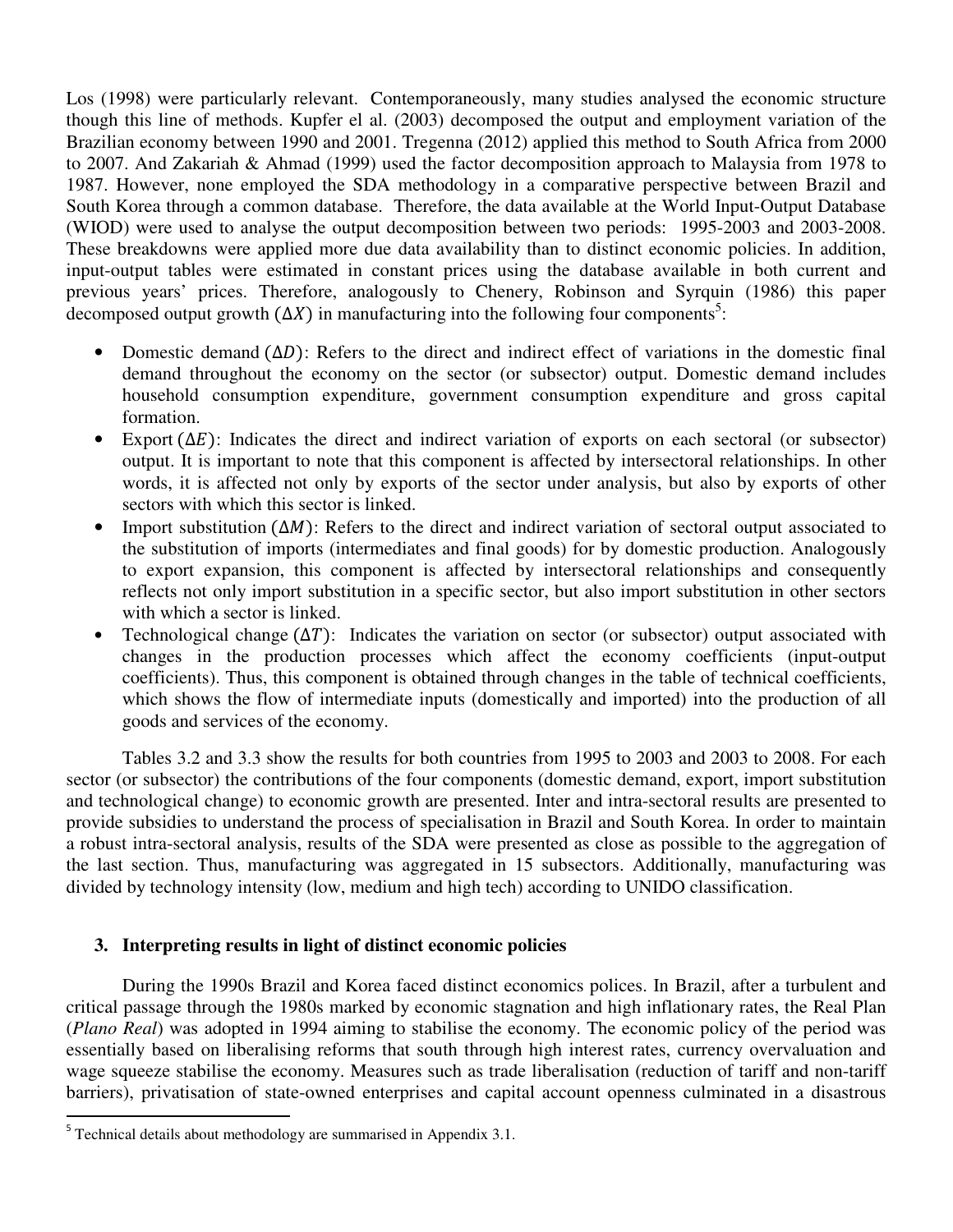Los (1998) were particularly relevant. Contemporaneously, many studies analysed the economic structure though this line of methods. Kupfer el al. (2003) decomposed the output and employment variation of the Brazilian economy between 1990 and 2001. Tregenna (2012) applied this method to South Africa from 2000 to 2007. And Zakariah & Ahmad (1999) used the factor decomposition approach to Malaysia from 1978 to 1987. However, none employed the SDA methodology in a comparative perspective between Brazil and South Korea through a common database. Therefore, the data available at the World Input-Output Database (WIOD) were used to analyse the output decomposition between two periods: 1995-2003 and 2003-2008. These breakdowns were applied more due data availability than to distinct economic policies. In addition, input-output tables were estimated in constant prices using the database available in both current and previous years' prices. Therefore, analogously to Chenery, Robinson and Syrquin (1986) this paper decomposed output growth  $(\Delta X)$  in manufacturing into the following four components<sup>5</sup>:

- Domestic demand  $(\Delta D)$ : Refers to the direct and indirect effect of variations in the domestic final demand throughout the economy on the sector (or subsector) output. Domestic demand includes household consumption expenditure, government consumption expenditure and gross capital formation.
- Export  $(\Delta E)$ : Indicates the direct and indirect variation of exports on each sectoral (or subsector) output. It is important to note that this component is affected by intersectoral relationships. In other words, it is affected not only by exports of the sector under analysis, but also by exports of other sectors with which this sector is linked.
- Import substitution  $(\Delta M)$ : Refers to the direct and indirect variation of sectoral output associated to the substitution of imports (intermediates and final goods) for by domestic production. Analogously to export expansion, this component is affected by intersectoral relationships and consequently reflects not only import substitution in a specific sector, but also import substitution in other sectors with which a sector is linked.
- Technological change  $(\Delta T)$ : Indicates the variation on sector (or subsector) output associated with changes in the production processes which affect the economy coefficients (input-output coefficients). Thus, this component is obtained through changes in the table of technical coefficients, which shows the flow of intermediate inputs (domestically and imported) into the production of all goods and services of the economy.

 Tables 3.2 and 3.3 show the results for both countries from 1995 to 2003 and 2003 to 2008. For each sector (or subsector) the contributions of the four components (domestic demand, export, import substitution and technological change) to economic growth are presented. Inter and intra-sectoral results are presented to provide subsidies to understand the process of specialisation in Brazil and South Korea. In order to maintain a robust intra-sectoral analysis, results of the SDA were presented as close as possible to the aggregation of the last section. Thus, manufacturing was aggregated in 15 subsectors. Additionally, manufacturing was divided by technology intensity (low, medium and high tech) according to UNIDO classification.

## **3. Interpreting results in light of distinct economic policies**

 During the 1990s Brazil and Korea faced distinct economics polices. In Brazil, after a turbulent and critical passage through the 1980s marked by economic stagnation and high inflationary rates, the Real Plan (*Plano Real*) was adopted in 1994 aiming to stabilise the economy. The economic policy of the period was essentially based on liberalising reforms that south through high interest rates, currency overvaluation and wage squeeze stabilise the economy. Measures such as trade liberalisation (reduction of tariff and non-tariff barriers), privatisation of state-owned enterprises and capital account openness culminated in a disastrous

 $\overline{\phantom{a}}$ 

 $5$  Technical details about methodology are summarised in Appendix 3.1.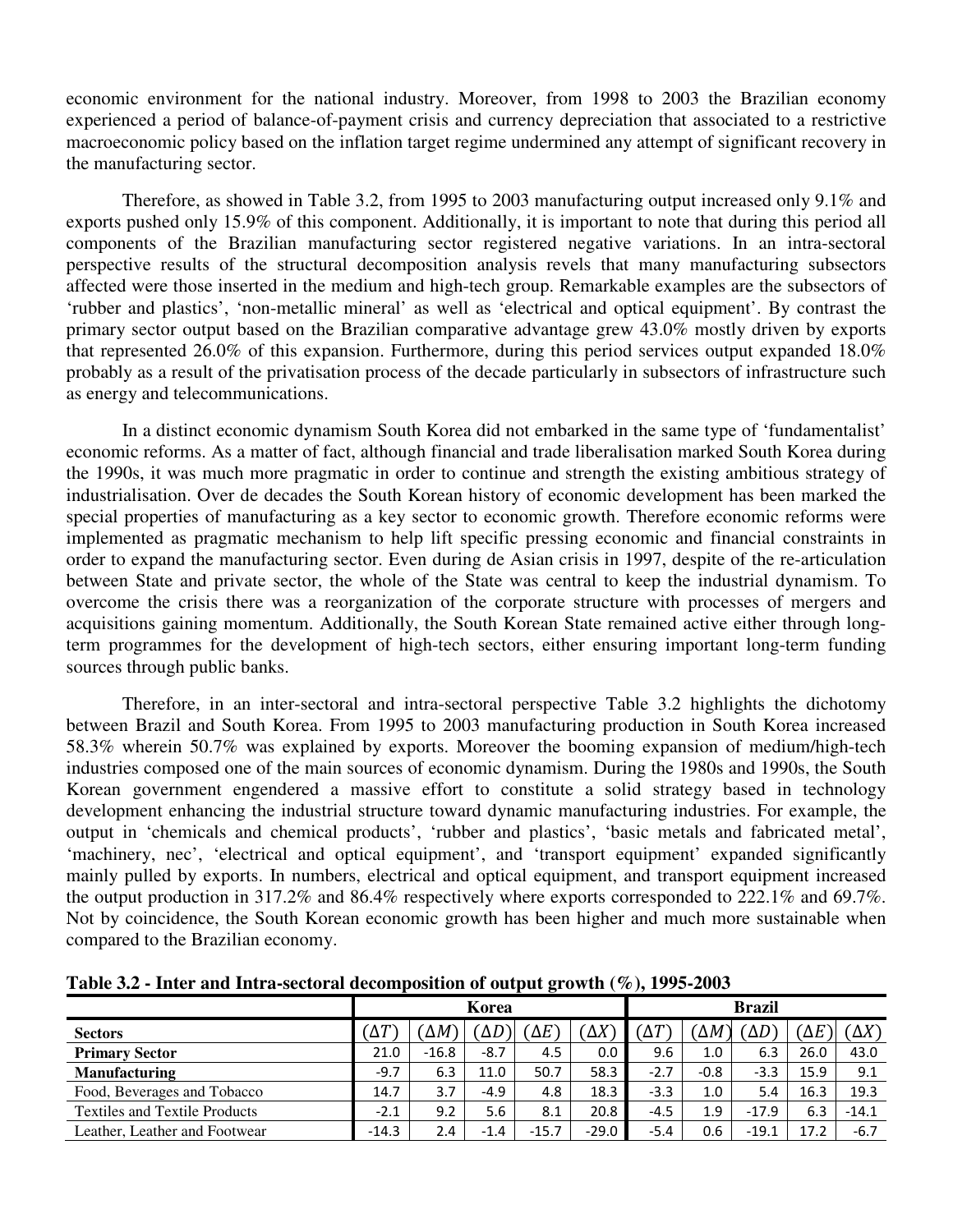economic environment for the national industry. Moreover, from 1998 to 2003 the Brazilian economy experienced a period of balance-of-payment crisis and currency depreciation that associated to a restrictive macroeconomic policy based on the inflation target regime undermined any attempt of significant recovery in the manufacturing sector.

 Therefore, as showed in Table 3.2, from 1995 to 2003 manufacturing output increased only 9.1% and exports pushed only 15.9% of this component. Additionally, it is important to note that during this period all components of the Brazilian manufacturing sector registered negative variations. In an intra-sectoral perspective results of the structural decomposition analysis revels that many manufacturing subsectors affected were those inserted in the medium and high-tech group. Remarkable examples are the subsectors of 'rubber and plastics', 'non-metallic mineral' as well as 'electrical and optical equipment'. By contrast the primary sector output based on the Brazilian comparative advantage grew 43.0% mostly driven by exports that represented 26.0% of this expansion. Furthermore, during this period services output expanded 18.0% probably as a result of the privatisation process of the decade particularly in subsectors of infrastructure such as energy and telecommunications.

 In a distinct economic dynamism South Korea did not embarked in the same type of 'fundamentalist' economic reforms. As a matter of fact, although financial and trade liberalisation marked South Korea during the 1990s, it was much more pragmatic in order to continue and strength the existing ambitious strategy of industrialisation. Over de decades the South Korean history of economic development has been marked the special properties of manufacturing as a key sector to economic growth. Therefore economic reforms were implemented as pragmatic mechanism to help lift specific pressing economic and financial constraints in order to expand the manufacturing sector. Even during de Asian crisis in 1997, despite of the re-articulation between State and private sector, the whole of the State was central to keep the industrial dynamism. To overcome the crisis there was a reorganization of the corporate structure with processes of mergers and acquisitions gaining momentum. Additionally, the South Korean State remained active either through longterm programmes for the development of high-tech sectors, either ensuring important long-term funding sources through public banks.

 Therefore, in an inter-sectoral and intra-sectoral perspective Table 3.2 highlights the dichotomy between Brazil and South Korea. From 1995 to 2003 manufacturing production in South Korea increased 58.3% wherein 50.7% was explained by exports. Moreover the booming expansion of medium/high-tech industries composed one of the main sources of economic dynamism. During the 1980s and 1990s, the South Korean government engendered a massive effort to constitute a solid strategy based in technology development enhancing the industrial structure toward dynamic manufacturing industries. For example, the output in 'chemicals and chemical products', 'rubber and plastics', 'basic metals and fabricated metal', 'machinery, nec', 'electrical and optical equipment', and 'transport equipment' expanded significantly mainly pulled by exports. In numbers, electrical and optical equipment, and transport equipment increased the output production in 317.2% and 86.4% respectively where exports corresponded to 222.1% and 69.7%. Not by coincidence, the South Korean economic growth has been higher and much more sustainable when compared to the Brazilian economy.

|                                      |            |            | Korea  |            | <b>Brazil</b> |            |        |         |              |              |
|--------------------------------------|------------|------------|--------|------------|---------------|------------|--------|---------|--------------|--------------|
| <b>Sectors</b>                       | $\Delta T$ | $\Delta M$ | 'ΔD    | $\Delta E$ | $\Delta X$    | $\Delta T$ | ΆΜ     | 'ΔD`    | $(\Delta E)$ | $(\Delta X)$ |
| <b>Primary Sector</b>                | 21.0       | $-16.8$    | $-8.7$ | 4.5        | 0.0           | 9.6        | 1.0    | 6.3     | 26.0         | 43.0         |
| <b>Manufacturing</b>                 | $-9.7$     | 6.3        | 11.0   | 50.7       | 58.3          | $-2.7$     | $-0.8$ | $-3.3$  | 15.9         | 9.1          |
| Food, Beverages and Tobacco          | 14.7       | 3.7        | $-4.9$ | 4.8        | 18.3          | $-3.3$     | 1.0    | 5.4     | 16.3         | 19.3         |
| <b>Textiles and Textile Products</b> | $-2.1$     | 9.2        | 5.6    | 8.1        | 20.8          | $-4.5$     | 1.9    | $-17.9$ | 6.3          | $-14.1$      |
| Leather. Leather and Footwear        | $-14.3$    | 2.4        | $-1.4$ | $-15.7$    | $-29.0$       | -5.4       | 0.6    | $-19.1$ | 17.2         | $-6.7$       |

**Table 3.2 - Inter and Intra-sectoral decomposition of output growth (%), 1995-2003**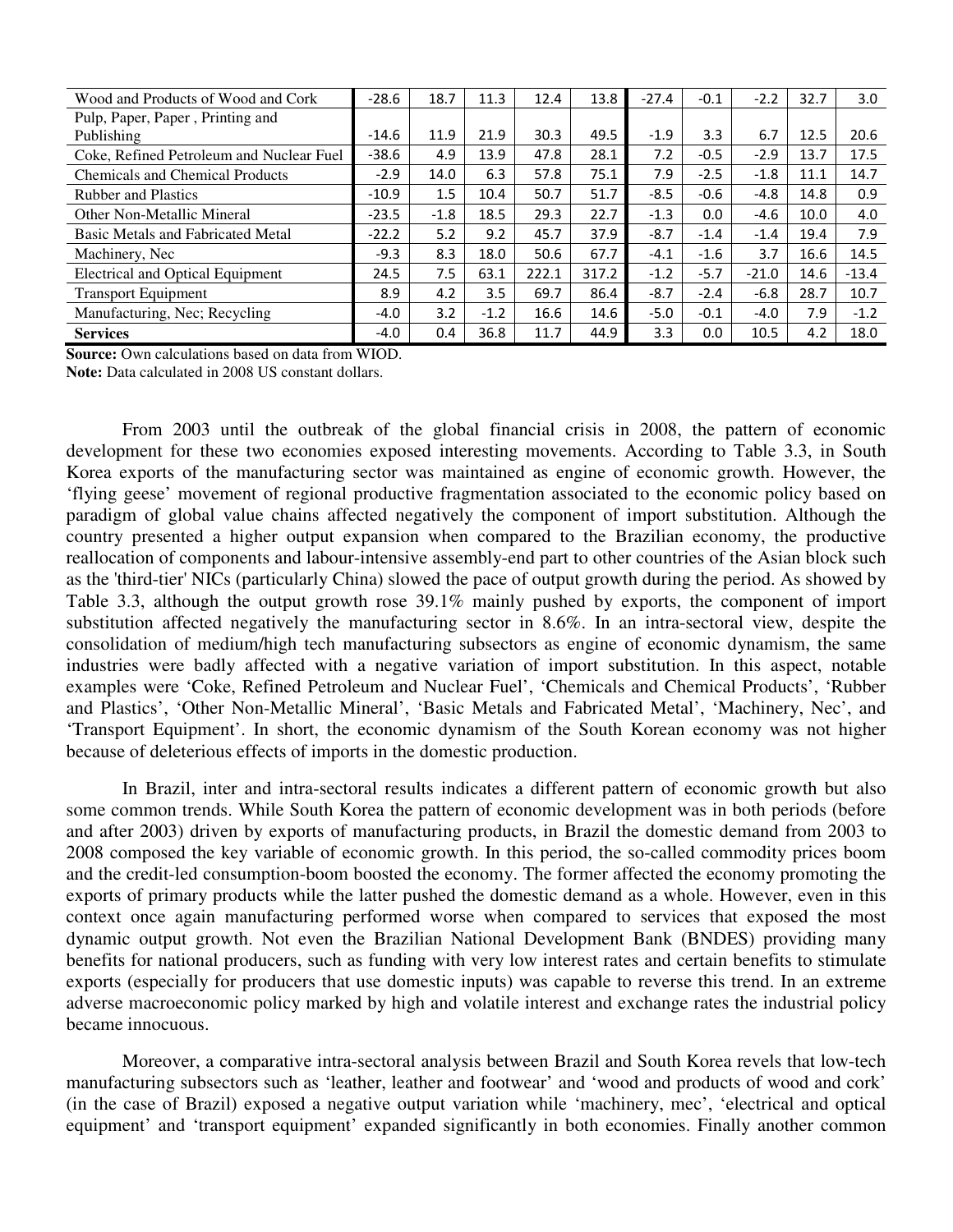| Wood and Products of Wood and Cork       | $-28.6$ | 18.7   | 11.3   | 12.4  | 13.8  | $-27.4$ | $-0.1$ | $-2.2$  | 32.7 | 3.0     |
|------------------------------------------|---------|--------|--------|-------|-------|---------|--------|---------|------|---------|
| Pulp, Paper, Paper, Printing and         |         |        |        |       |       |         |        |         |      |         |
| Publishing                               | $-14.6$ | 11.9   | 21.9   | 30.3  | 49.5  | $-1.9$  | 3.3    | 6.7     | 12.5 | 20.6    |
| Coke, Refined Petroleum and Nuclear Fuel | $-38.6$ | 4.9    | 13.9   | 47.8  | 28.1  | 7.2     | $-0.5$ | $-2.9$  | 13.7 | 17.5    |
| <b>Chemicals and Chemical Products</b>   | $-2.9$  | 14.0   | 6.3    | 57.8  | 75.1  | 7.9     | $-2.5$ | $-1.8$  | 11.1 | 14.7    |
| <b>Rubber and Plastics</b>               | $-10.9$ | 1.5    | 10.4   | 50.7  | 51.7  | $-8.5$  | $-0.6$ | $-4.8$  | 14.8 | 0.9     |
| <b>Other Non-Metallic Mineral</b>        | $-23.5$ | $-1.8$ | 18.5   | 29.3  | 22.7  | $-1.3$  | 0.0    | -4.6    | 10.0 | 4.0     |
| <b>Basic Metals and Fabricated Metal</b> | $-22.2$ | 5.2    | 9.2    | 45.7  | 37.9  | $-8.7$  | $-1.4$ | $-1.4$  | 19.4 | 7.9     |
| Machinery, Nec                           | $-9.3$  | 8.3    | 18.0   | 50.6  | 67.7  | $-4.1$  | $-1.6$ | 3.7     | 16.6 | 14.5    |
| <b>Electrical and Optical Equipment</b>  | 24.5    | 7.5    | 63.1   | 222.1 | 317.2 | $-1.2$  | $-5.7$ | $-21.0$ | 14.6 | $-13.4$ |
| <b>Transport Equipment</b>               | 8.9     | 4.2    | 3.5    | 69.7  | 86.4  | $-8.7$  | $-2.4$ | $-6.8$  | 28.7 | 10.7    |
| Manufacturing, Nec; Recycling            | $-4.0$  | 3.2    | $-1.2$ | 16.6  | 14.6  | $-5.0$  | $-0.1$ | -4.0    | 7.9  | $-1.2$  |
| <b>Services</b>                          | $-4.0$  | 0.4    | 36.8   | 11.7  | 44.9  | 3.3     | 0.0    | 10.5    | 4.2  | 18.0    |

**Source:** Own calculations based on data from WIOD.

**Note:** Data calculated in 2008 US constant dollars.

 From 2003 until the outbreak of the global financial crisis in 2008, the pattern of economic development for these two economies exposed interesting movements. According to Table 3.3, in South Korea exports of the manufacturing sector was maintained as engine of economic growth. However, the 'flying geese' movement of regional productive fragmentation associated to the economic policy based on paradigm of global value chains affected negatively the component of import substitution. Although the country presented a higher output expansion when compared to the Brazilian economy, the productive reallocation of components and labour-intensive assembly-end part to other countries of the Asian block such as the 'third-tier' NICs (particularly China) slowed the pace of output growth during the period. As showed by Table 3.3, although the output growth rose 39.1% mainly pushed by exports, the component of import substitution affected negatively the manufacturing sector in 8.6%. In an intra-sectoral view, despite the consolidation of medium/high tech manufacturing subsectors as engine of economic dynamism, the same industries were badly affected with a negative variation of import substitution. In this aspect, notable examples were 'Coke, Refined Petroleum and Nuclear Fuel', 'Chemicals and Chemical Products', 'Rubber and Plastics', 'Other Non-Metallic Mineral', 'Basic Metals and Fabricated Metal', 'Machinery, Nec', and 'Transport Equipment'. In short, the economic dynamism of the South Korean economy was not higher because of deleterious effects of imports in the domestic production.

 In Brazil, inter and intra-sectoral results indicates a different pattern of economic growth but also some common trends. While South Korea the pattern of economic development was in both periods (before and after 2003) driven by exports of manufacturing products, in Brazil the domestic demand from 2003 to 2008 composed the key variable of economic growth. In this period, the so-called commodity prices boom and the credit-led consumption-boom boosted the economy. The former affected the economy promoting the exports of primary products while the latter pushed the domestic demand as a whole. However, even in this context once again manufacturing performed worse when compared to services that exposed the most dynamic output growth. Not even the Brazilian National Development Bank (BNDES) providing many benefits for national producers, such as funding with very low interest rates and certain benefits to stimulate exports (especially for producers that use domestic inputs) was capable to reverse this trend. In an extreme adverse macroeconomic policy marked by high and volatile interest and exchange rates the industrial policy became innocuous.

 Moreover, a comparative intra-sectoral analysis between Brazil and South Korea revels that low-tech manufacturing subsectors such as 'leather, leather and footwear' and 'wood and products of wood and cork' (in the case of Brazil) exposed a negative output variation while 'machinery, mec', 'electrical and optical equipment' and 'transport equipment' expanded significantly in both economies. Finally another common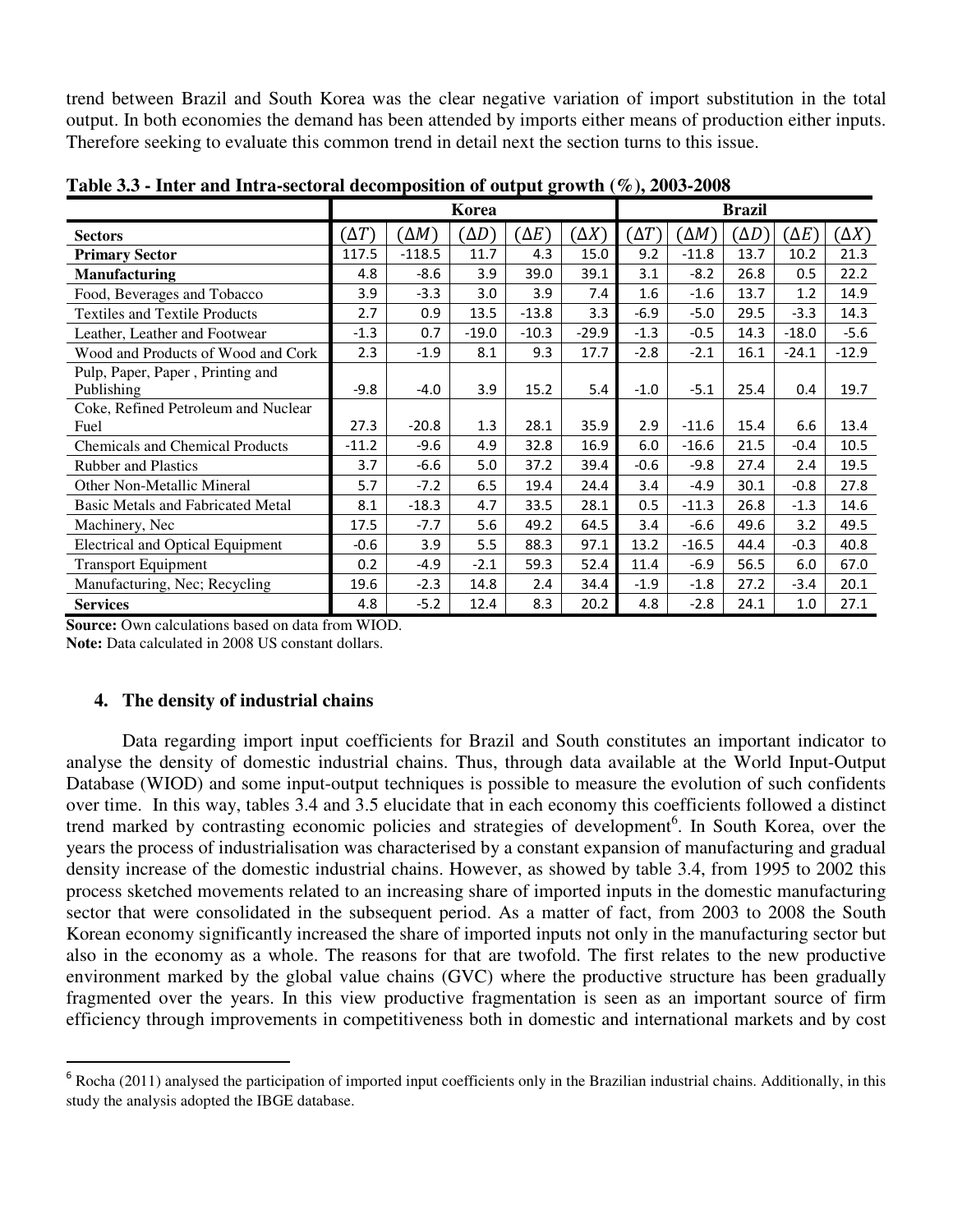trend between Brazil and South Korea was the clear negative variation of import substitution in the total output. In both economies the demand has been attended by imports either means of production either inputs. Therefore seeking to evaluate this common trend in detail next the section turns to this issue.

|                                          |             |              | Korea        |              |              |              |              | <b>Brazil</b> |              |              |
|------------------------------------------|-------------|--------------|--------------|--------------|--------------|--------------|--------------|---------------|--------------|--------------|
| <b>Sectors</b>                           | $\Delta T)$ | $(\Delta M)$ | $(\Delta D)$ | $(\Delta E)$ | $(\Delta X)$ | $(\Delta T)$ | $\Delta M$ ) | $\Delta D$    | $(\Delta E)$ | $(\Delta X)$ |
| <b>Primary Sector</b>                    | 117.5       | $-118.5$     | 11.7         | 4.3          | 15.0         | 9.2          | $-11.8$      | 13.7          | 10.2         | 21.3         |
| <b>Manufacturing</b>                     | 4.8         | $-8.6$       | 3.9          | 39.0         | 39.1         | 3.1          | $-8.2$       | 26.8          | 0.5          | 22.2         |
| Food, Beverages and Tobacco              | 3.9         | $-3.3$       | 3.0          | 3.9          | 7.4          | 1.6          | $-1.6$       | 13.7          | 1.2          | 14.9         |
| <b>Textiles and Textile Products</b>     | 2.7         | 0.9          | 13.5         | $-13.8$      | 3.3          | $-6.9$       | $-5.0$       | 29.5          | $-3.3$       | 14.3         |
| Leather, Leather and Footwear            | $-1.3$      | 0.7          | $-19.0$      | $-10.3$      | $-29.9$      | $-1.3$       | $-0.5$       | 14.3          | $-18.0$      | $-5.6$       |
| Wood and Products of Wood and Cork       | 2.3         | $-1.9$       | 8.1          | 9.3          | 17.7         | $-2.8$       | $-2.1$       | 16.1          | $-24.1$      | $-12.9$      |
| Pulp, Paper, Paper, Printing and         |             |              |              |              |              |              |              |               |              |              |
| Publishing                               | $-9.8$      | $-4.0$       | 3.9          | 15.2         | 5.4          | $-1.0$       | $-5.1$       | 25.4          | 0.4          | 19.7         |
| Coke, Refined Petroleum and Nuclear      |             |              |              |              |              |              |              |               |              |              |
| Fuel                                     | 27.3        | $-20.8$      | 1.3          | 28.1         | 35.9         | 2.9          | $-11.6$      | 15.4          | 6.6          | 13.4         |
| <b>Chemicals and Chemical Products</b>   | $-11.2$     | $-9.6$       | 4.9          | 32.8         | 16.9         | 6.0          | $-16.6$      | 21.5          | $-0.4$       | 10.5         |
| <b>Rubber and Plastics</b>               | 3.7         | $-6.6$       | 5.0          | 37.2         | 39.4         | $-0.6$       | $-9.8$       | 27.4          | 2.4          | 19.5         |
| Other Non-Metallic Mineral               | 5.7         | $-7.2$       | 6.5          | 19.4         | 24.4         | 3.4          | $-4.9$       | 30.1          | $-0.8$       | 27.8         |
| <b>Basic Metals and Fabricated Metal</b> | 8.1         | $-18.3$      | 4.7          | 33.5         | 28.1         | 0.5          | $-11.3$      | 26.8          | $-1.3$       | 14.6         |
| Machinery, Nec                           | 17.5        | $-7.7$       | 5.6          | 49.2         | 64.5         | 3.4          | $-6.6$       | 49.6          | 3.2          | 49.5         |
| <b>Electrical and Optical Equipment</b>  | $-0.6$      | 3.9          | 5.5          | 88.3         | 97.1         | 13.2         | $-16.5$      | 44.4          | $-0.3$       | 40.8         |
| <b>Transport Equipment</b>               | 0.2         | -4.9         | $-2.1$       | 59.3         | 52.4         | 11.4         | $-6.9$       | 56.5          | 6.0          | 67.0         |
| Manufacturing, Nec; Recycling            | 19.6        | $-2.3$       | 14.8         | 2.4          | 34.4         | $-1.9$       | $-1.8$       | 27.2          | $-3.4$       | 20.1         |
| <b>Services</b>                          | 4.8         | $-5.2$       | 12.4         | 8.3          | 20.2         | 4.8          | $-2.8$       | 24.1          | 1.0          | 27.1         |

**Table 3.3 - Inter and Intra-sectoral decomposition of output growth (%), 2003-2008** 

**Source:** Own calculations based on data from WIOD.

**Note:** Data calculated in 2008 US constant dollars.

## **4. The density of industrial chains**

l

 Data regarding import input coefficients for Brazil and South constitutes an important indicator to analyse the density of domestic industrial chains. Thus, through data available at the World Input-Output Database (WIOD) and some input-output techniques is possible to measure the evolution of such confidents over time. In this way, tables 3.4 and 3.5 elucidate that in each economy this coefficients followed a distinct trend marked by contrasting economic policies and strategies of development<sup>6</sup>. In South Korea, over the years the process of industrialisation was characterised by a constant expansion of manufacturing and gradual density increase of the domestic industrial chains. However, as showed by table 3.4, from 1995 to 2002 this process sketched movements related to an increasing share of imported inputs in the domestic manufacturing sector that were consolidated in the subsequent period. As a matter of fact, from 2003 to 2008 the South Korean economy significantly increased the share of imported inputs not only in the manufacturing sector but also in the economy as a whole. The reasons for that are twofold. The first relates to the new productive environment marked by the global value chains (GVC) where the productive structure has been gradually fragmented over the years. In this view productive fragmentation is seen as an important source of firm efficiency through improvements in competitiveness both in domestic and international markets and by cost

 $6$  Rocha (2011) analysed the participation of imported input coefficients only in the Brazilian industrial chains. Additionally, in this study the analysis adopted the IBGE database.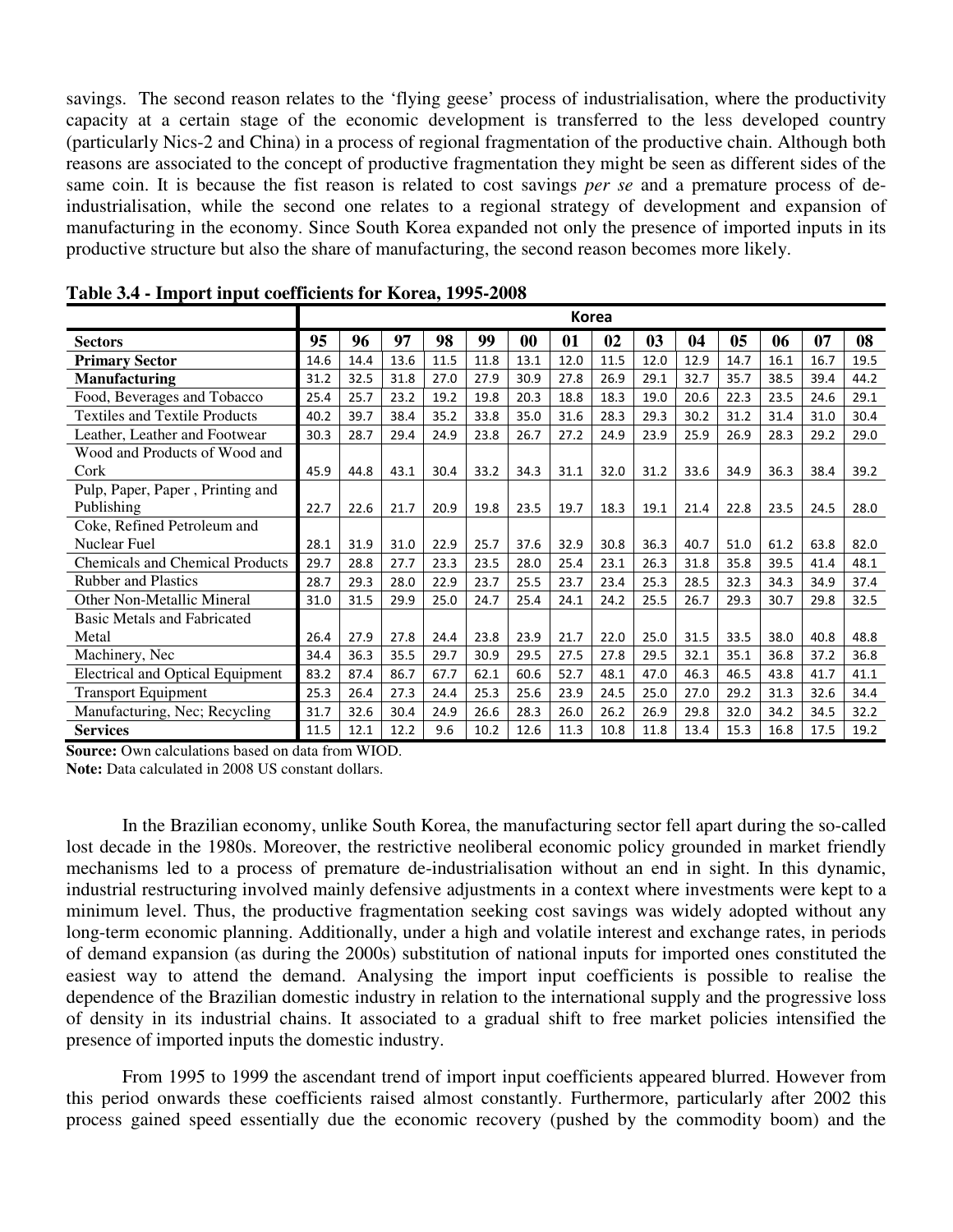savings. The second reason relates to the 'flying geese' process of industrialisation, where the productivity capacity at a certain stage of the economic development is transferred to the less developed country (particularly Nics-2 and China) in a process of regional fragmentation of the productive chain. Although both reasons are associated to the concept of productive fragmentation they might be seen as different sides of the same coin. It is because the fist reason is related to cost savings *per se* and a premature process of deindustrialisation, while the second one relates to a regional strategy of development and expansion of manufacturing in the economy. Since South Korea expanded not only the presence of imported inputs in its productive structure but also the share of manufacturing, the second reason becomes more likely.

|                                         | Korea |      |      |      |      |      |      |      |      |      |      |      |      |      |
|-----------------------------------------|-------|------|------|------|------|------|------|------|------|------|------|------|------|------|
| <b>Sectors</b>                          | 95    | 96   | 97   | 98   | 99   | 00   | 01   | 02   | 03   | 04   | 05   | 06   | 07   | 08   |
| <b>Primary Sector</b>                   | 14.6  | 14.4 | 13.6 | 11.5 | 11.8 | 13.1 | 12.0 | 11.5 | 12.0 | 12.9 | 14.7 | 16.1 | 16.7 | 19.5 |
| <b>Manufacturing</b>                    | 31.2  | 32.5 | 31.8 | 27.0 | 27.9 | 30.9 | 27.8 | 26.9 | 29.1 | 32.7 | 35.7 | 38.5 | 39.4 | 44.2 |
| Food, Beverages and Tobacco             | 25.4  | 25.7 | 23.2 | 19.2 | 19.8 | 20.3 | 18.8 | 18.3 | 19.0 | 20.6 | 22.3 | 23.5 | 24.6 | 29.1 |
| <b>Textiles and Textile Products</b>    | 40.2  | 39.7 | 38.4 | 35.2 | 33.8 | 35.0 | 31.6 | 28.3 | 29.3 | 30.2 | 31.2 | 31.4 | 31.0 | 30.4 |
| Leather, Leather and Footwear           | 30.3  | 28.7 | 29.4 | 24.9 | 23.8 | 26.7 | 27.2 | 24.9 | 23.9 | 25.9 | 26.9 | 28.3 | 29.2 | 29.0 |
| Wood and Products of Wood and           |       |      |      |      |      |      |      |      |      |      |      |      |      |      |
| Cork                                    | 45.9  | 44.8 | 43.1 | 30.4 | 33.2 | 34.3 | 31.1 | 32.0 | 31.2 | 33.6 | 34.9 | 36.3 | 38.4 | 39.2 |
| Pulp, Paper, Paper, Printing and        |       |      |      |      |      |      |      |      |      |      |      |      |      |      |
| Publishing                              | 22.7  | 22.6 | 21.7 | 20.9 | 19.8 | 23.5 | 19.7 | 18.3 | 19.1 | 21.4 | 22.8 | 23.5 | 24.5 | 28.0 |
| Coke, Refined Petroleum and             |       |      |      |      |      |      |      |      |      |      |      |      |      |      |
| Nuclear Fuel                            | 28.1  | 31.9 | 31.0 | 22.9 | 25.7 | 37.6 | 32.9 | 30.8 | 36.3 | 40.7 | 51.0 | 61.2 | 63.8 | 82.0 |
| <b>Chemicals and Chemical Products</b>  | 29.7  | 28.8 | 27.7 | 23.3 | 23.5 | 28.0 | 25.4 | 23.1 | 26.3 | 31.8 | 35.8 | 39.5 | 41.4 | 48.1 |
| <b>Rubber and Plastics</b>              | 28.7  | 29.3 | 28.0 | 22.9 | 23.7 | 25.5 | 23.7 | 23.4 | 25.3 | 28.5 | 32.3 | 34.3 | 34.9 | 37.4 |
| Other Non-Metallic Mineral              | 31.0  | 31.5 | 29.9 | 25.0 | 24.7 | 25.4 | 24.1 | 24.2 | 25.5 | 26.7 | 29.3 | 30.7 | 29.8 | 32.5 |
| <b>Basic Metals and Fabricated</b>      |       |      |      |      |      |      |      |      |      |      |      |      |      |      |
| Metal                                   | 26.4  | 27.9 | 27.8 | 24.4 | 23.8 | 23.9 | 21.7 | 22.0 | 25.0 | 31.5 | 33.5 | 38.0 | 40.8 | 48.8 |
| Machinery, Nec                          | 34.4  | 36.3 | 35.5 | 29.7 | 30.9 | 29.5 | 27.5 | 27.8 | 29.5 | 32.1 | 35.1 | 36.8 | 37.2 | 36.8 |
| <b>Electrical and Optical Equipment</b> | 83.2  | 87.4 | 86.7 | 67.7 | 62.1 | 60.6 | 52.7 | 48.1 | 47.0 | 46.3 | 46.5 | 43.8 | 41.7 | 41.1 |
| <b>Transport Equipment</b>              | 25.3  | 26.4 | 27.3 | 24.4 | 25.3 | 25.6 | 23.9 | 24.5 | 25.0 | 27.0 | 29.2 | 31.3 | 32.6 | 34.4 |
| Manufacturing, Nec; Recycling           | 31.7  | 32.6 | 30.4 | 24.9 | 26.6 | 28.3 | 26.0 | 26.2 | 26.9 | 29.8 | 32.0 | 34.2 | 34.5 | 32.2 |
| <b>Services</b>                         | 11.5  | 12.1 | 12.2 | 9.6  | 10.2 | 12.6 | 11.3 | 10.8 | 11.8 | 13.4 | 15.3 | 16.8 | 17.5 | 19.2 |

**Table 3.4 - Import input coefficients for Korea, 1995-2008** 

**Source:** Own calculations based on data from WIOD.

**Note:** Data calculated in 2008 US constant dollars.

 In the Brazilian economy, unlike South Korea, the manufacturing sector fell apart during the so-called lost decade in the 1980s. Moreover, the restrictive neoliberal economic policy grounded in market friendly mechanisms led to a process of premature de-industrialisation without an end in sight. In this dynamic, industrial restructuring involved mainly defensive adjustments in a context where investments were kept to a minimum level. Thus, the productive fragmentation seeking cost savings was widely adopted without any long-term economic planning. Additionally, under a high and volatile interest and exchange rates, in periods of demand expansion (as during the 2000s) substitution of national inputs for imported ones constituted the easiest way to attend the demand. Analysing the import input coefficients is possible to realise the dependence of the Brazilian domestic industry in relation to the international supply and the progressive loss of density in its industrial chains. It associated to a gradual shift to free market policies intensified the presence of imported inputs the domestic industry.

 From 1995 to 1999 the ascendant trend of import input coefficients appeared blurred. However from this period onwards these coefficients raised almost constantly. Furthermore, particularly after 2002 this process gained speed essentially due the economic recovery (pushed by the commodity boom) and the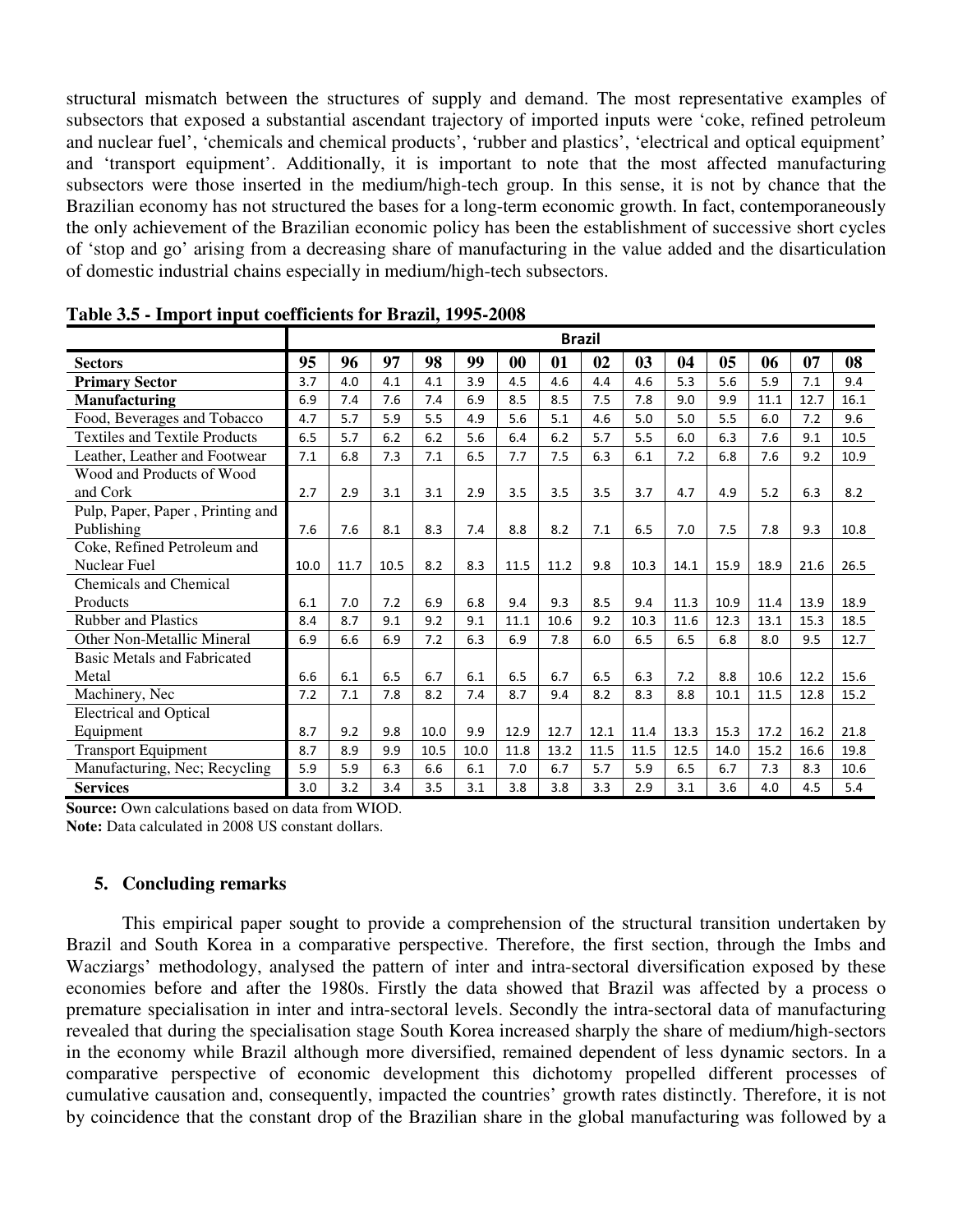structural mismatch between the structures of supply and demand. The most representative examples of subsectors that exposed a substantial ascendant trajectory of imported inputs were 'coke, refined petroleum and nuclear fuel', 'chemicals and chemical products', 'rubber and plastics', 'electrical and optical equipment' and 'transport equipment'. Additionally, it is important to note that the most affected manufacturing subsectors were those inserted in the medium/high-tech group. In this sense, it is not by chance that the Brazilian economy has not structured the bases for a long-term economic growth. In fact, contemporaneously the only achievement of the Brazilian economic policy has been the establishment of successive short cycles of 'stop and go' arising from a decreasing share of manufacturing in the value added and the disarticulation of domestic industrial chains especially in medium/high-tech subsectors.

|                                      | <b>Brazil</b> |      |      |      |      |      |      |      |      |      |      |      |      |      |
|--------------------------------------|---------------|------|------|------|------|------|------|------|------|------|------|------|------|------|
| <b>Sectors</b>                       | 95            | 96   | 97   | 98   | 99   | 00   | 01   | 02   | 03   | 04   | 05   | 06   | 07   | 08   |
| <b>Primary Sector</b>                | 3.7           | 4.0  | 4.1  | 4.1  | 3.9  | 4.5  | 4.6  | 4.4  | 4.6  | 5.3  | 5.6  | 5.9  | 7.1  | 9.4  |
| <b>Manufacturing</b>                 | 6.9           | 7.4  | 7.6  | 7.4  | 6.9  | 8.5  | 8.5  | 7.5  | 7.8  | 9.0  | 9.9  | 11.1 | 12.7 | 16.1 |
| Food, Beverages and Tobacco          | 4.7           | 5.7  | 5.9  | 5.5  | 4.9  | 5.6  | 5.1  | 4.6  | 5.0  | 5.0  | 5.5  | 6.0  | 7.2  | 9.6  |
| <b>Textiles and Textile Products</b> | 6.5           | 5.7  | 6.2  | 6.2  | 5.6  | 6.4  | 6.2  | 5.7  | 5.5  | 6.0  | 6.3  | 7.6  | 9.1  | 10.5 |
| Leather, Leather and Footwear        | 7.1           | 6.8  | 7.3  | 7.1  | 6.5  | 7.7  | 7.5  | 6.3  | 6.1  | 7.2  | 6.8  | 7.6  | 9.2  | 10.9 |
| Wood and Products of Wood            |               |      |      |      |      |      |      |      |      |      |      |      |      |      |
| and Cork                             | 2.7           | 2.9  | 3.1  | 3.1  | 2.9  | 3.5  | 3.5  | 3.5  | 3.7  | 4.7  | 4.9  | 5.2  | 6.3  | 8.2  |
| Pulp, Paper, Paper, Printing and     |               |      |      |      |      |      |      |      |      |      |      |      |      |      |
| Publishing                           | 7.6           | 7.6  | 8.1  | 8.3  | 7.4  | 8.8  | 8.2  | 7.1  | 6.5  | 7.0  | 7.5  | 7.8  | 9.3  | 10.8 |
| Coke, Refined Petroleum and          |               |      |      |      |      |      |      |      |      |      |      |      |      |      |
| Nuclear Fuel                         | 10.0          | 11.7 | 10.5 | 8.2  | 8.3  | 11.5 | 11.2 | 9.8  | 10.3 | 14.1 | 15.9 | 18.9 | 21.6 | 26.5 |
| <b>Chemicals and Chemical</b>        |               |      |      |      |      |      |      |      |      |      |      |      |      |      |
| Products                             | 6.1           | 7.0  | 7.2  | 6.9  | 6.8  | 9.4  | 9.3  | 8.5  | 9.4  | 11.3 | 10.9 | 11.4 | 13.9 | 18.9 |
| <b>Rubber and Plastics</b>           | 8.4           | 8.7  | 9.1  | 9.2  | 9.1  | 11.1 | 10.6 | 9.2  | 10.3 | 11.6 | 12.3 | 13.1 | 15.3 | 18.5 |
| Other Non-Metallic Mineral           | 6.9           | 6.6  | 6.9  | 7.2  | 6.3  | 6.9  | 7.8  | 6.0  | 6.5  | 6.5  | 6.8  | 8.0  | 9.5  | 12.7 |
| <b>Basic Metals and Fabricated</b>   |               |      |      |      |      |      |      |      |      |      |      |      |      |      |
| Metal                                | 6.6           | 6.1  | 6.5  | 6.7  | 6.1  | 6.5  | 6.7  | 6.5  | 6.3  | 7.2  | 8.8  | 10.6 | 12.2 | 15.6 |
| Machinery, Nec                       | 7.2           | 7.1  | 7.8  | 8.2  | 7.4  | 8.7  | 9.4  | 8.2  | 8.3  | 8.8  | 10.1 | 11.5 | 12.8 | 15.2 |
| <b>Electrical and Optical</b>        |               |      |      |      |      |      |      |      |      |      |      |      |      |      |
| Equipment                            | 8.7           | 9.2  | 9.8  | 10.0 | 9.9  | 12.9 | 12.7 | 12.1 | 11.4 | 13.3 | 15.3 | 17.2 | 16.2 | 21.8 |
| <b>Transport Equipment</b>           | 8.7           | 8.9  | 9.9  | 10.5 | 10.0 | 11.8 | 13.2 | 11.5 | 11.5 | 12.5 | 14.0 | 15.2 | 16.6 | 19.8 |
| Manufacturing, Nec; Recycling        | 5.9           | 5.9  | 6.3  | 6.6  | 6.1  | 7.0  | 6.7  | 5.7  | 5.9  | 6.5  | 6.7  | 7.3  | 8.3  | 10.6 |
| <b>Services</b>                      | 3.0           | 3.2  | 3.4  | 3.5  | 3.1  | 3.8  | 3.8  | 3.3  | 2.9  | 3.1  | 3.6  | 4.0  | 4.5  | 5.4  |

**Table 3.5 - Import input coefficients for Brazil, 1995-2008** 

**Source:** Own calculations based on data from WIOD. **Note:** Data calculated in 2008 US constant dollars.

## **5. Concluding remarks**

This empirical paper sought to provide a comprehension of the structural transition undertaken by Brazil and South Korea in a comparative perspective. Therefore, the first section, through the Imbs and Wacziargs' methodology, analysed the pattern of inter and intra-sectoral diversification exposed by these economies before and after the 1980s. Firstly the data showed that Brazil was affected by a process o premature specialisation in inter and intra-sectoral levels. Secondly the intra-sectoral data of manufacturing revealed that during the specialisation stage South Korea increased sharply the share of medium/high-sectors in the economy while Brazil although more diversified, remained dependent of less dynamic sectors. In a comparative perspective of economic development this dichotomy propelled different processes of cumulative causation and, consequently, impacted the countries' growth rates distinctly. Therefore, it is not by coincidence that the constant drop of the Brazilian share in the global manufacturing was followed by a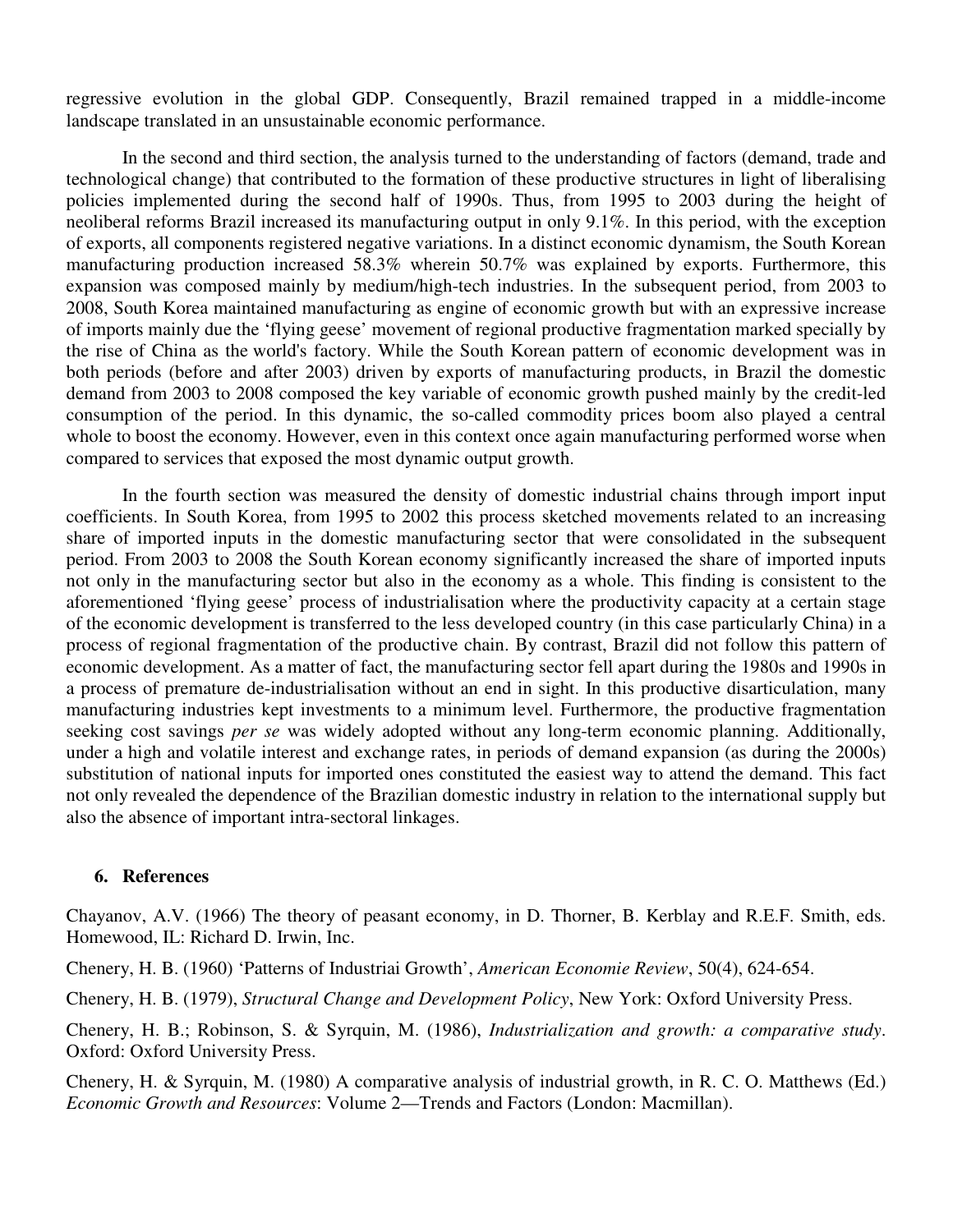regressive evolution in the global GDP. Consequently, Brazil remained trapped in a middle-income landscape translated in an unsustainable economic performance.

 In the second and third section, the analysis turned to the understanding of factors (demand, trade and technological change) that contributed to the formation of these productive structures in light of liberalising policies implemented during the second half of 1990s. Thus, from 1995 to 2003 during the height of neoliberal reforms Brazil increased its manufacturing output in only 9.1%. In this period, with the exception of exports, all components registered negative variations. In a distinct economic dynamism, the South Korean manufacturing production increased 58.3% wherein 50.7% was explained by exports. Furthermore, this expansion was composed mainly by medium/high-tech industries. In the subsequent period, from 2003 to 2008, South Korea maintained manufacturing as engine of economic growth but with an expressive increase of imports mainly due the 'flying geese' movement of regional productive fragmentation marked specially by the rise of China as the world's factory. While the South Korean pattern of economic development was in both periods (before and after 2003) driven by exports of manufacturing products, in Brazil the domestic demand from 2003 to 2008 composed the key variable of economic growth pushed mainly by the credit-led consumption of the period. In this dynamic, the so-called commodity prices boom also played a central whole to boost the economy. However, even in this context once again manufacturing performed worse when compared to services that exposed the most dynamic output growth.

 In the fourth section was measured the density of domestic industrial chains through import input coefficients. In South Korea, from 1995 to 2002 this process sketched movements related to an increasing share of imported inputs in the domestic manufacturing sector that were consolidated in the subsequent period. From 2003 to 2008 the South Korean economy significantly increased the share of imported inputs not only in the manufacturing sector but also in the economy as a whole. This finding is consistent to the aforementioned 'flying geese' process of industrialisation where the productivity capacity at a certain stage of the economic development is transferred to the less developed country (in this case particularly China) in a process of regional fragmentation of the productive chain. By contrast, Brazil did not follow this pattern of economic development. As a matter of fact, the manufacturing sector fell apart during the 1980s and 1990s in a process of premature de-industrialisation without an end in sight. In this productive disarticulation, many manufacturing industries kept investments to a minimum level. Furthermore, the productive fragmentation seeking cost savings *per se* was widely adopted without any long-term economic planning. Additionally, under a high and volatile interest and exchange rates, in periods of demand expansion (as during the 2000s) substitution of national inputs for imported ones constituted the easiest way to attend the demand. This fact not only revealed the dependence of the Brazilian domestic industry in relation to the international supply but also the absence of important intra-sectoral linkages.

#### **6. References**

Chayanov, A.V. (1966) The theory of peasant economy, in D. Thorner, B. Kerblay and R.E.F. Smith, eds. Homewood, IL: Richard D. Irwin, Inc.

Chenery, H. B. (1960) 'Patterns of Industriai Growth', *American Economie Review*, 50(4), 624-654.

Chenery, H. B. (1979), *Structural Change and Development Policy*, New York: Oxford University Press.

Chenery, H. B.; Robinson, S. & Syrquin, M. (1986), *Industrialization and growth: a comparative study*. Oxford: Oxford University Press.

Chenery, H. & Syrquin, M. (1980) A comparative analysis of industrial growth, in R. C. O. Matthews (Ed.) *Economic Growth and Resources*: Volume 2—Trends and Factors (London: Macmillan).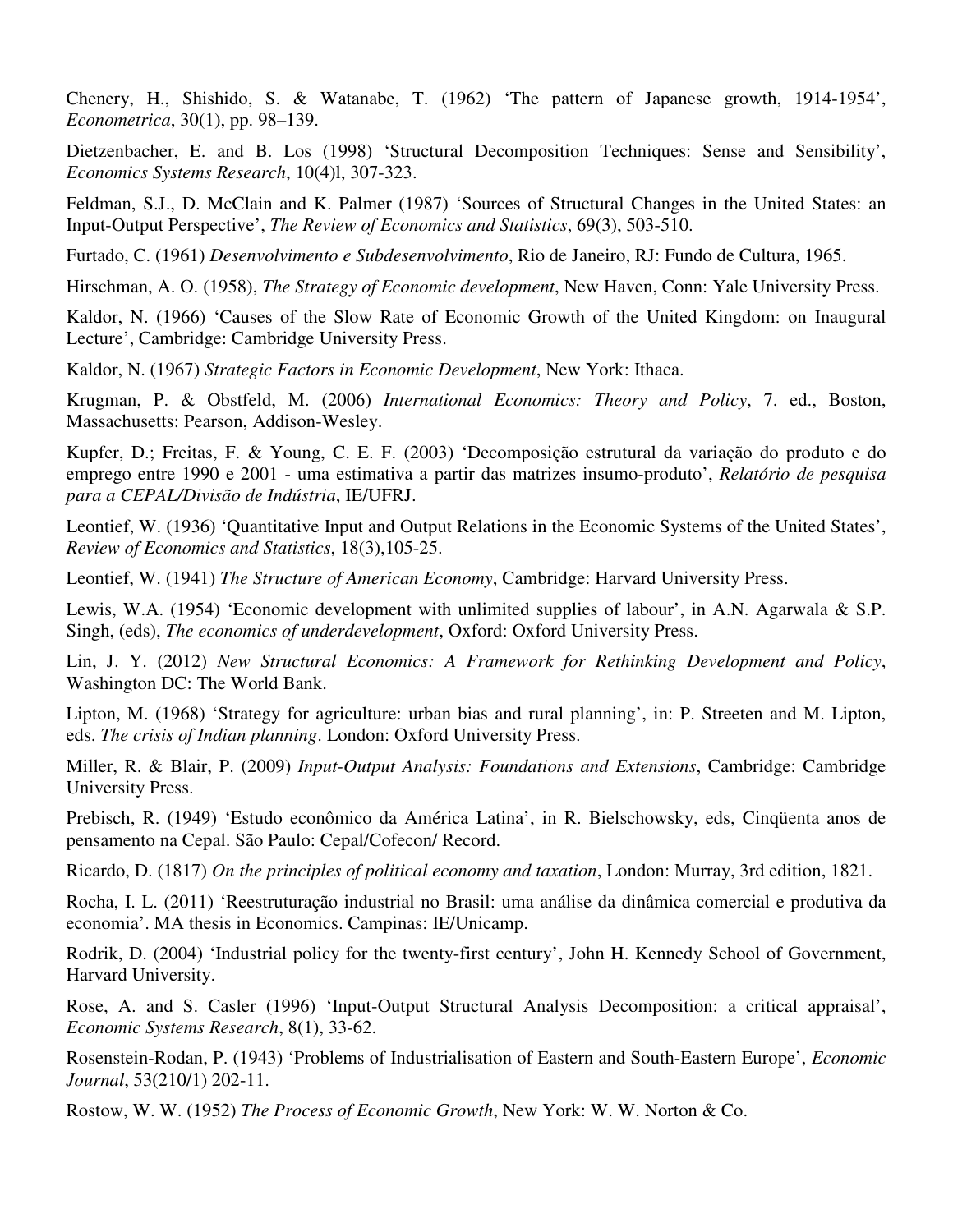Chenery, H., Shishido, S. & Watanabe, T. (1962) 'The pattern of Japanese growth, 1914-1954', *Econometrica*, 30(1), pp. 98–139.

Dietzenbacher, E. and B. Los (1998) 'Structural Decomposition Techniques: Sense and Sensibility', *Economics Systems Research*, 10(4)l, 307-323.

Feldman, S.J., D. McClain and K. Palmer (1987) 'Sources of Structural Changes in the United States: an Input-Output Perspective', *The Review of Economics and Statistics*, 69(3), 503-510.

Furtado, C. (1961) *Desenvolvimento e Subdesenvolvimento*, Rio de Janeiro, RJ: Fundo de Cultura, 1965.

Hirschman, A. O. (1958), *The Strategy of Economic development*, New Haven, Conn: Yale University Press.

Kaldor, N. (1966) 'Causes of the Slow Rate of Economic Growth of the United Kingdom: on Inaugural Lecture', Cambridge: Cambridge University Press.

Kaldor, N. (1967) *Strategic Factors in Economic Development*, New York: Ithaca.

Krugman, P. & Obstfeld, M. (2006) *International Economics: Theory and Policy*, 7. ed., Boston, Massachusetts: Pearson, Addison-Wesley.

Kupfer, D.; Freitas, F. & Young, C. E. F. (2003) 'Decomposição estrutural da variação do produto e do emprego entre 1990 e 2001 - uma estimativa a partir das matrizes insumo-produto', *Relatório de pesquisa para a CEPAL/Divisão de Indústria*, IE/UFRJ.

Leontief, W. (1936) 'Quantitative Input and Output Relations in the Economic Systems of the United States', *Review of Economics and Statistics*, 18(3),105-25.

Leontief, W. (1941) *The Structure of American Economy*, Cambridge: Harvard University Press.

Lewis, W.A. (1954) 'Economic development with unlimited supplies of labour', in A.N. Agarwala & S.P. Singh, (eds), *The economics of underdevelopment*, Oxford: Oxford University Press.

Lin, J. Y. (2012) *New Structural Economics: A Framework for Rethinking Development and Policy*, Washington DC: The World Bank.

Lipton, M. (1968) 'Strategy for agriculture: urban bias and rural planning', in: P. Streeten and M. Lipton, eds. *The crisis of Indian planning*. London: Oxford University Press.

Miller, R. & Blair, P. (2009) *Input-Output Analysis: Foundations and Extensions*, Cambridge: Cambridge University Press.

Prebisch, R. (1949) 'Estudo econômico da América Latina', in R. Bielschowsky, eds, Cinqüenta anos de pensamento na Cepal. São Paulo: Cepal/Cofecon/ Record.

Ricardo, D. (1817) *On the principles of political economy and taxation*, London: Murray, 3rd edition, 1821.

Rocha, I. L. (2011) 'Reestruturação industrial no Brasil: uma análise da dinâmica comercial e produtiva da economia'. MA thesis in Economics. Campinas: IE/Unicamp.

Rodrik, D. (2004) 'Industrial policy for the twenty-first century', John H. Kennedy School of Government, Harvard University.

Rose, A. and S. Casler (1996) 'Input-Output Structural Analysis Decomposition: a critical appraisal', *Economic Systems Research*, 8(1), 33-62.

Rosenstein-Rodan, P. (1943) 'Problems of Industrialisation of Eastern and South-Eastern Europe', *Economic Journal*, 53(210/1) 202-11.

Rostow, W. W. (1952) *The Process of Economic Growth*, New York: W. W. Norton & Co.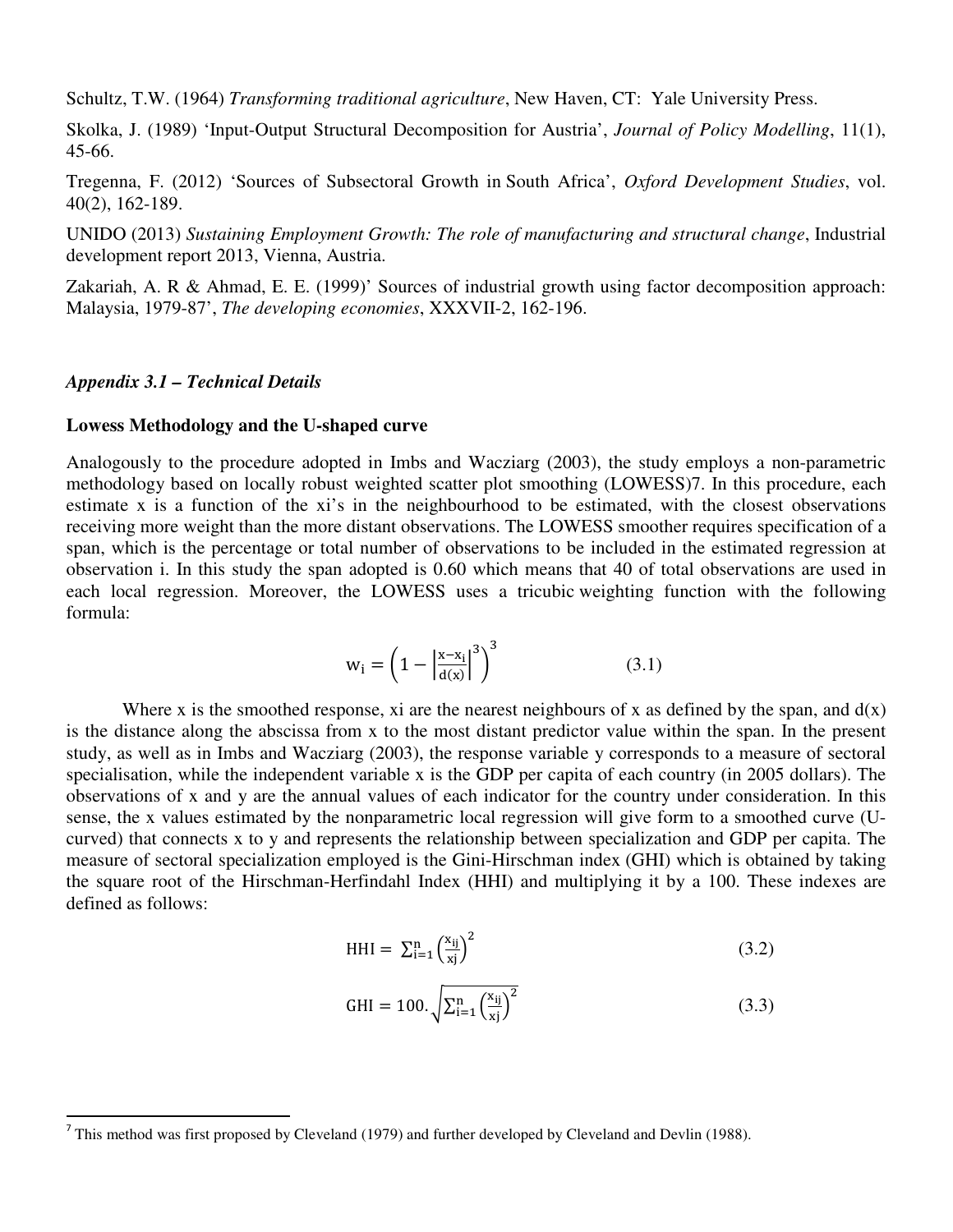Schultz, T.W. (1964) *Transforming traditional agriculture*, New Haven, CT: Yale University Press.

Skolka, J. (1989) 'Input-Output Structural Decomposition for Austria', *Journal of Policy Modelling*, 11(1), 45-66.

Tregenna, F. (2012) 'Sources of Subsectoral Growth in South Africa', *Oxford Development Studies*, vol. 40(2), 162-189.

UNIDO (2013) *Sustaining Employment Growth: The role of manufacturing and structural change*, Industrial development report 2013, Vienna, Austria.

Zakariah, A. R & Ahmad, E. E. (1999)' Sources of industrial growth using factor decomposition approach: Malaysia, 1979-87', *The developing economies*, XXXVII-2, 162-196.

#### *Appendix 3.1 – Technical Details*

 $\overline{\phantom{a}}$ 

#### **Lowess Methodology and the U-shaped curve**

Analogously to the procedure adopted in Imbs and Wacziarg (2003), the study employs a non-parametric methodology based on locally robust weighted scatter plot smoothing (LOWESS)7. In this procedure, each estimate x is a function of the xi's in the neighbourhood to be estimated, with the closest observations receiving more weight than the more distant observations. The LOWESS smoother requires specification of a span, which is the percentage or total number of observations to be included in the estimated regression at observation i. In this study the span adopted is 0.60 which means that 40 of total observations are used in each local regression. Moreover, the LOWESS uses a tricubic weighting function with the following formula:

$$
\mathbf{w}_{i} = \left(1 - \left|\frac{\mathbf{x} - \mathbf{x}_{i}}{\mathbf{d}(\mathbf{x})}\right|^{3}\right)^{3} \tag{3.1}
$$

Where x is the smoothed response, xi are the nearest neighbours of x as defined by the span, and  $d(x)$ is the distance along the abscissa from x to the most distant predictor value within the span. In the present study, as well as in Imbs and Wacziarg (2003), the response variable y corresponds to a measure of sectoral specialisation, while the independent variable x is the GDP per capita of each country (in 2005 dollars). The observations of x and y are the annual values of each indicator for the country under consideration. In this sense, the x values estimated by the nonparametric local regression will give form to a smoothed curve (Ucurved) that connects x to y and represents the relationship between specialization and GDP per capita. The measure of sectoral specialization employed is the Gini-Hirschman index (GHI) which is obtained by taking the square root of the Hirschman-Herfindahl Index (HHI) and multiplying it by a 100. These indexes are defined as follows:

$$
HHI = \sum_{i=1}^{n} \left(\frac{x_{ij}}{x_j}\right)^2 \tag{3.2}
$$

$$
GHI = 100. \sqrt{\sum_{i=1}^{n} \left(\frac{x_{ij}}{x_j}\right)^2}
$$
 (3.3)

<sup>&</sup>lt;sup>7</sup> This method was first proposed by Cleveland (1979) and further developed by Cleveland and Devlin (1988).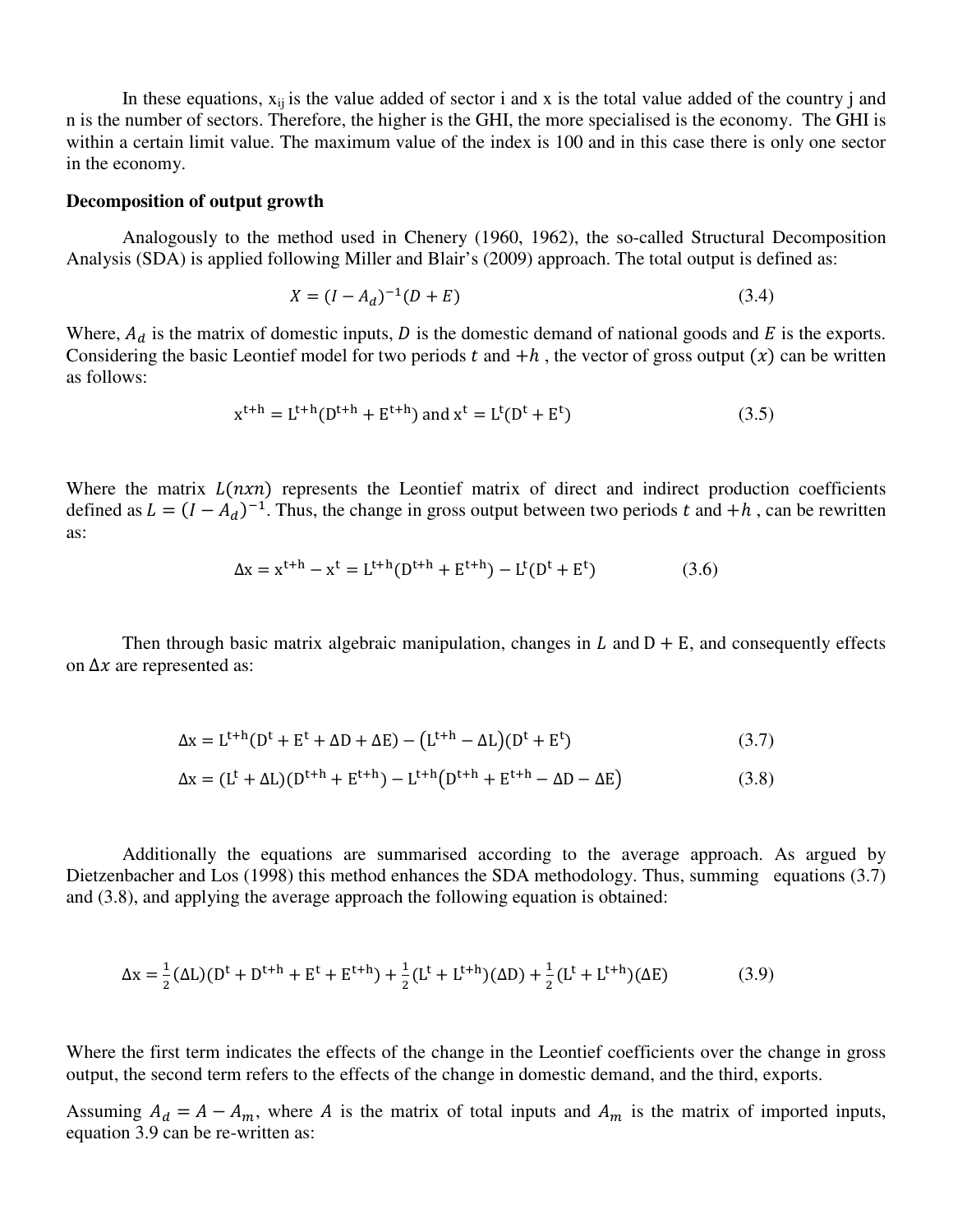In these equations,  $x_{ii}$  is the value added of sector i and x is the total value added of the country j and n is the number of sectors. Therefore, the higher is the GHI, the more specialised is the economy. The GHI is within a certain limit value. The maximum value of the index is 100 and in this case there is only one sector in the economy.

#### **Decomposition of output growth**

 Analogously to the method used in Chenery (1960, 1962), the so-called Structural Decomposition Analysis (SDA) is applied following Miller and Blair's (2009) approach. The total output is defined as:

$$
X = (I - A_d)^{-1}(D + E) \tag{3.4}
$$

Where,  $A_d$  is the matrix of domestic inputs,  $D$  is the domestic demand of national goods and  $E$  is the exports. Considering the basic Leontief model for two periods t and  $+h$ , the vector of gross output (x) can be written as follows:

$$
x^{t+h} = L^{t+h}(D^{t+h} + E^{t+h}) \text{ and } x^t = L^t(D^t + E^t) \tag{3.5}
$$

Where the matrix  $L(nxn)$  represents the Leontief matrix of direct and indirect production coefficients defined as  $L = (I - A_d)^{-1}$ . Thus, the change in gross output between two periods t and  $+h$ , can be rewritten as:

$$
\Delta x = x^{t+h} - x^t = L^{t+h}(D^{t+h} + E^{t+h}) - L^t(D^t + E^t)
$$
(3.6)

Then through basic matrix algebraic manipulation, changes in  $L$  and  $D + E$ , and consequently effects on  $\Delta x$  are represented as:

$$
\Delta x = L^{t+h}(D^t + E^t + \Delta D + \Delta E) - (L^{t+h} - \Delta L)(D^t + E^t)
$$
\n(3.7)

$$
\Delta x = (L^t + \Delta L)(D^{t+h} + E^{t+h}) - L^{t+h}(D^{t+h} + E^{t+h} - \Delta D - \Delta E)
$$
\n(3.8)

 Additionally the equations are summarised according to the average approach. As argued by Dietzenbacher and Los (1998) this method enhances the SDA methodology. Thus, summing equations (3.7) and (3.8), and applying the average approach the following equation is obtained:

$$
\Delta x = \frac{1}{2} (\Delta L) (D^{t} + D^{t+h} + E^{t} + E^{t+h}) + \frac{1}{2} (L^{t} + L^{t+h}) (\Delta D) + \frac{1}{2} (L^{t} + L^{t+h}) (\Delta E)
$$
(3.9)

Where the first term indicates the effects of the change in the Leontief coefficients over the change in gross output, the second term refers to the effects of the change in domestic demand, and the third, exports.

Assuming  $A_d = A - A_m$ , where A is the matrix of total inputs and  $A_m$  is the matrix of imported inputs, equation 3.9 can be re-written as: